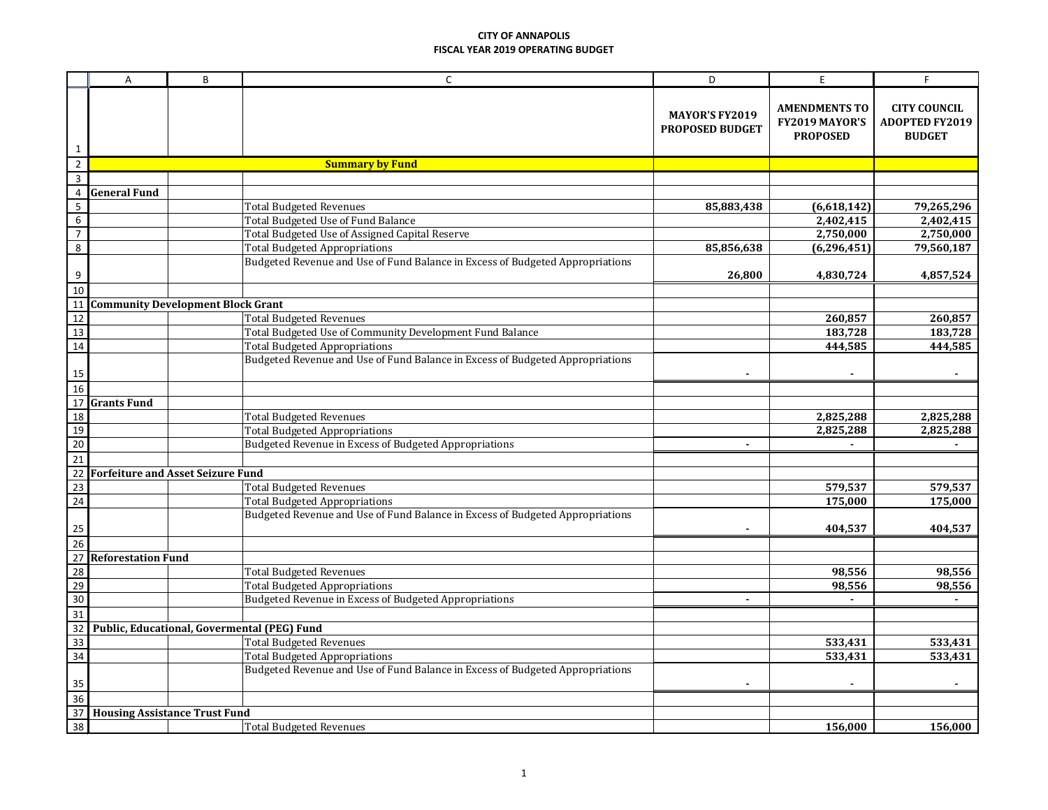|                          | A                                        | B | $\mathsf{C}$                                                                  | D                                               | E                                                         | F.                                                            |
|--------------------------|------------------------------------------|---|-------------------------------------------------------------------------------|-------------------------------------------------|-----------------------------------------------------------|---------------------------------------------------------------|
| $\mathbf{1}$             |                                          |   |                                                                               | <b>MAYOR'S FY2019</b><br><b>PROPOSED BUDGET</b> | <b>AMENDMENTS TO</b><br>FY2019 MAYOR'S<br><b>PROPOSED</b> | <b>CITY COUNCIL</b><br><b>ADOPTED FY2019</b><br><b>BUDGET</b> |
| $\overline{2}$           |                                          |   | <b>Summary by Fund</b>                                                        |                                                 |                                                           |                                                               |
| $\overline{3}$           |                                          |   |                                                                               |                                                 |                                                           |                                                               |
| $\overline{4}$           | <b>General Fund</b>                      |   |                                                                               |                                                 |                                                           |                                                               |
| $\sf 5$                  |                                          |   | <b>Total Budgeted Revenues</b>                                                | 85,883,438                                      | (6,618,142)                                               | 79,265,296                                                    |
| $\boldsymbol{6}$         |                                          |   | Total Budgeted Use of Fund Balance                                            |                                                 | 2,402,415                                                 | 2,402,415                                                     |
| $\overline{\phantom{a}}$ |                                          |   | Total Budgeted Use of Assigned Capital Reserve                                |                                                 | 2,750,000                                                 | 2,750,000                                                     |
| 8                        |                                          |   | <b>Total Budgeted Appropriations</b>                                          | 85,856,638                                      | (6, 296, 451)                                             | 79,560,187                                                    |
| $\boldsymbol{9}$         |                                          |   | Budgeted Revenue and Use of Fund Balance in Excess of Budgeted Appropriations | 26,800                                          | 4,830,724                                                 | 4,857,524                                                     |
| 10                       |                                          |   |                                                                               |                                                 |                                                           |                                                               |
| <sup>11</sup>            | <b>Community Development Block Grant</b> |   |                                                                               |                                                 |                                                           |                                                               |
| 12                       |                                          |   | <b>Total Budgeted Revenues</b>                                                |                                                 | 260,857                                                   | 260,857                                                       |
| 13                       |                                          |   | Total Budgeted Use of Community Development Fund Balance                      |                                                 | 183,728                                                   | 183,728                                                       |
| 14                       |                                          |   | <b>Total Budgeted Appropriations</b>                                          |                                                 | 444,585                                                   | 444,585                                                       |
| 15                       |                                          |   | Budgeted Revenue and Use of Fund Balance in Excess of Budgeted Appropriations |                                                 |                                                           |                                                               |
| <b>16</b>                |                                          |   |                                                                               |                                                 |                                                           |                                                               |
| 17                       | <b>Grants Fund</b>                       |   |                                                                               |                                                 |                                                           |                                                               |
| 18                       |                                          |   | <b>Total Budgeted Revenues</b>                                                |                                                 | 2,825,288                                                 | 2,825,288                                                     |
| 19                       |                                          |   | <b>Total Budgeted Appropriations</b>                                          |                                                 | 2,825,288                                                 | 2,825,288                                                     |
| 20                       |                                          |   | Budgeted Revenue in Excess of Budgeted Appropriations                         |                                                 |                                                           |                                                               |
| $\overline{21}$          |                                          |   |                                                                               |                                                 |                                                           |                                                               |
| 22                       | <b>Forfeiture and Asset Seizure Fund</b> |   |                                                                               |                                                 |                                                           |                                                               |
| 23                       |                                          |   | <b>Total Budgeted Revenues</b>                                                |                                                 | 579,537                                                   | 579,537                                                       |
| 24                       |                                          |   | <b>Total Budgeted Appropriations</b>                                          |                                                 | 175,000                                                   | 175,000                                                       |
| 25                       |                                          |   | Budgeted Revenue and Use of Fund Balance in Excess of Budgeted Appropriations |                                                 | 404,537                                                   | 404,537                                                       |
| 26                       |                                          |   |                                                                               |                                                 |                                                           |                                                               |
| 27                       | <b>Reforestation Fund</b>                |   |                                                                               |                                                 |                                                           |                                                               |
| $\frac{28}{29}$          |                                          |   | <b>Total Budgeted Revenues</b>                                                |                                                 | 98,556                                                    | 98,556                                                        |
|                          |                                          |   | <b>Total Budgeted Appropriations</b>                                          |                                                 | 98,556                                                    | 98,556                                                        |
| 30                       |                                          |   | Budgeted Revenue in Excess of Budgeted Appropriations                         | $\blacksquare$                                  | $\mathbf{r}$                                              | $\blacksquare$                                                |
| $\frac{31}{32}$          |                                          |   |                                                                               |                                                 |                                                           |                                                               |
|                          |                                          |   | Public, Educational, Govermental (PEG) Fund                                   |                                                 |                                                           |                                                               |
| 33                       |                                          |   | <b>Total Budgeted Revenues</b>                                                |                                                 | 533,431                                                   | 533,431                                                       |
| 34                       |                                          |   | <b>Total Budgeted Appropriations</b>                                          |                                                 | 533,431                                                   | 533,431                                                       |
| 35                       |                                          |   | Budgeted Revenue and Use of Fund Balance in Excess of Budgeted Appropriations |                                                 |                                                           |                                                               |
| 36                       |                                          |   |                                                                               |                                                 |                                                           |                                                               |
| 37                       | <b>Housing Assistance Trust Fund</b>     |   |                                                                               |                                                 |                                                           |                                                               |
| 38                       |                                          |   | <b>Total Budgeted Revenues</b>                                                |                                                 | 156,000                                                   | 156,000                                                       |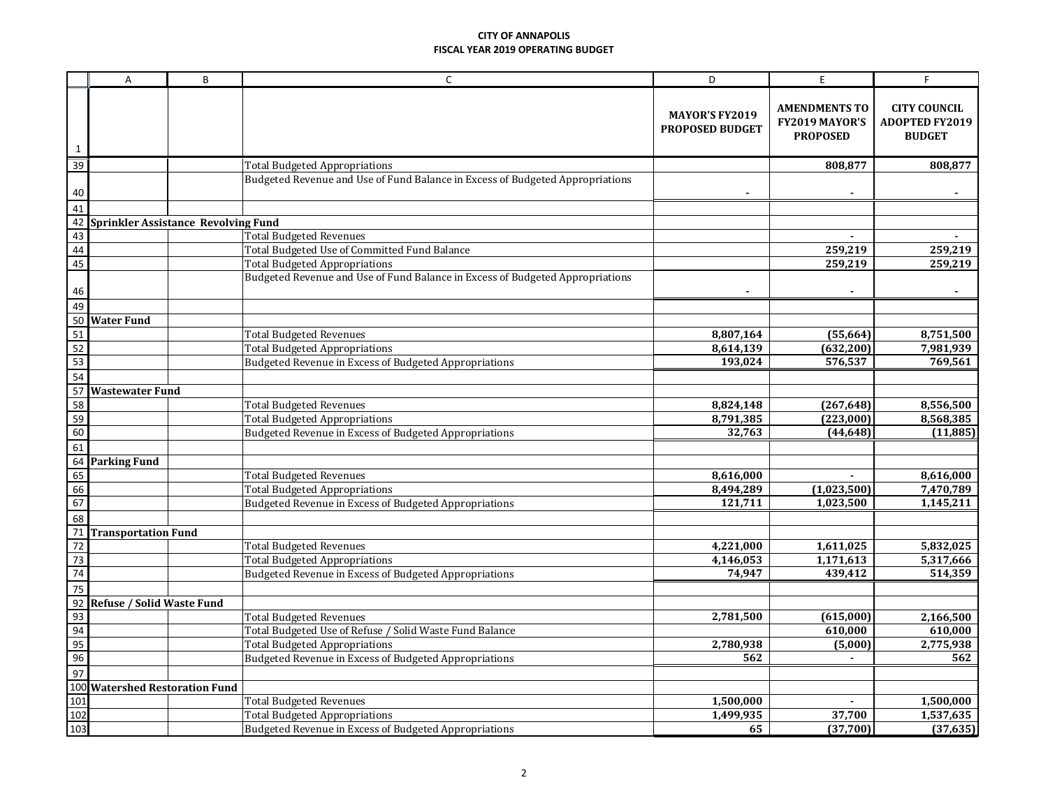|                 | A                                                                      | B | C                                                                             | D                                               | E                                                         | F                                                             |
|-----------------|------------------------------------------------------------------------|---|-------------------------------------------------------------------------------|-------------------------------------------------|-----------------------------------------------------------|---------------------------------------------------------------|
| $\mathbf{1}$    |                                                                        |   |                                                                               | <b>MAYOR'S FY2019</b><br><b>PROPOSED BUDGET</b> | <b>AMENDMENTS TO</b><br>FY2019 MAYOR'S<br><b>PROPOSED</b> | <b>CITY COUNCIL</b><br><b>ADOPTED FY2019</b><br><b>BUDGET</b> |
| 39              |                                                                        |   | <b>Total Budgeted Appropriations</b>                                          |                                                 | 808,877                                                   | 808,877                                                       |
| 40              |                                                                        |   | Budgeted Revenue and Use of Fund Balance in Excess of Budgeted Appropriations |                                                 |                                                           |                                                               |
| $\frac{1}{41}$  |                                                                        |   |                                                                               |                                                 |                                                           |                                                               |
| 42              | <b>Sprinkler Assistance Revolving Fund</b>                             |   |                                                                               |                                                 |                                                           |                                                               |
| 43              |                                                                        |   | <b>Total Budgeted Revenues</b>                                                |                                                 |                                                           |                                                               |
| 44              |                                                                        |   | Total Budgeted Use of Committed Fund Balance                                  |                                                 | 259,219                                                   | 259,219                                                       |
| 45              |                                                                        |   | <b>Total Budgeted Appropriations</b>                                          |                                                 | 259,219                                                   | 259,219                                                       |
| 46              |                                                                        |   | Budgeted Revenue and Use of Fund Balance in Excess of Budgeted Appropriations |                                                 |                                                           |                                                               |
| 49              |                                                                        |   |                                                                               |                                                 |                                                           |                                                               |
| 50              | <b>Water Fund</b>                                                      |   |                                                                               |                                                 |                                                           |                                                               |
| $\frac{51}{52}$ |                                                                        |   | <b>Total Budgeted Revenues</b>                                                | 8,807,164                                       | (55,664)                                                  | 8,751,500                                                     |
|                 |                                                                        |   | <b>Total Budgeted Appropriations</b>                                          | 8,614,139                                       | (632, 200)                                                | 7,981,939                                                     |
| 53              |                                                                        |   | Budgeted Revenue in Excess of Budgeted Appropriations                         | 193,024                                         | 576,537                                                   | 769,561                                                       |
| $\frac{54}{54}$ |                                                                        |   |                                                                               |                                                 |                                                           |                                                               |
|                 | <b>Wastewater Fund</b>                                                 |   |                                                                               |                                                 |                                                           |                                                               |
| $\frac{58}{59}$ |                                                                        |   | <b>Total Budgeted Revenues</b>                                                | 8,824,148                                       | (267, 648)                                                | 8,556,500                                                     |
|                 |                                                                        |   | <b>Total Budgeted Appropriations</b>                                          | 8,791,385                                       | (223,000)                                                 | 8,568,385                                                     |
| 60              |                                                                        |   | Budgeted Revenue in Excess of Budgeted Appropriations                         | 32,763                                          | (44, 648)                                                 | (11, 885)                                                     |
| 61              |                                                                        |   |                                                                               |                                                 |                                                           |                                                               |
| 64              | <b>Parking Fund</b>                                                    |   |                                                                               |                                                 |                                                           |                                                               |
| 65              |                                                                        |   | <b>Total Budgeted Revenues</b>                                                | 8,616,000                                       |                                                           | 8,616,000                                                     |
| 66              |                                                                        |   | <b>Total Budgeted Appropriations</b>                                          | 8,494,289                                       | (1,023,500)                                               | 7,470,789                                                     |
| 67              |                                                                        |   | Budgeted Revenue in Excess of Budgeted Appropriations                         | 121,711                                         | 1,023,500                                                 | 1,145,211                                                     |
| 68              |                                                                        |   |                                                                               |                                                 |                                                           |                                                               |
| $\frac{1}{71}$  | <b>Transportation Fund</b>                                             |   |                                                                               |                                                 |                                                           |                                                               |
| $\overline{72}$ |                                                                        |   | <b>Total Budgeted Revenues</b>                                                | 4,221,000                                       | 1,611,025                                                 | 5,832,025                                                     |
| 73              |                                                                        |   | <b>Total Budgeted Appropriations</b>                                          | 4,146,053                                       | 1,171,613                                                 | 5,317,666                                                     |
| 74              |                                                                        |   | Budgeted Revenue in Excess of Budgeted Appropriations                         | 74,947                                          | 439,412                                                   | 514,359                                                       |
| 75              |                                                                        |   |                                                                               |                                                 |                                                           |                                                               |
| 92              | Refuse / Solid Waste Fund                                              |   |                                                                               |                                                 |                                                           |                                                               |
| 93<br>94        |                                                                        |   | <b>Total Budgeted Revenues</b>                                                | 2,781,500                                       | (615,000)                                                 | 2,166,500                                                     |
|                 |                                                                        |   | Total Budgeted Use of Refuse / Solid Waste Fund Balance                       |                                                 | 610,000                                                   | 610,000                                                       |
| 95              |                                                                        |   | <b>Total Budgeted Appropriations</b>                                          | 2,780,938                                       | (5,000)                                                   | 2,775,938                                                     |
| 96              |                                                                        |   | Budgeted Revenue in Excess of Budgeted Appropriations                         | 562                                             |                                                           | 562                                                           |
|                 |                                                                        |   |                                                                               |                                                 |                                                           |                                                               |
|                 | $\frac{97}{97}$<br>100 Watershed Restoration Fund<br>101<br>102<br>103 |   |                                                                               |                                                 |                                                           |                                                               |
|                 |                                                                        |   | <b>Total Budgeted Revenues</b>                                                | 1,500,000                                       | $\blacksquare$                                            | $\overline{1,}500,000$                                        |
|                 |                                                                        |   | <b>Total Budgeted Appropriations</b>                                          | 1,499,935                                       | 37,700                                                    | 1,537,635                                                     |
|                 |                                                                        |   | <b>Budgeted Revenue in Excess of Budgeted Appropriations</b>                  | 65                                              | (37,700)                                                  | (37, 635)                                                     |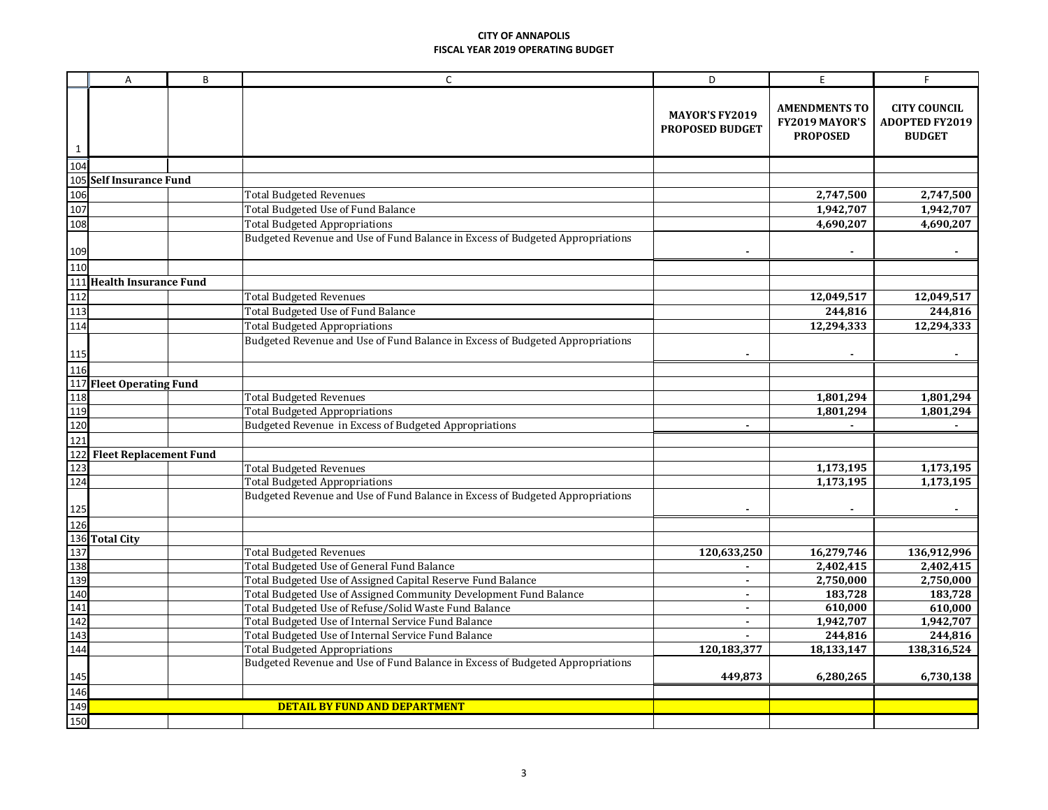|     | A                             | B | $\mathsf{C}$                                                                  | D                                               | E                                                         | F                                                             |
|-----|-------------------------------|---|-------------------------------------------------------------------------------|-------------------------------------------------|-----------------------------------------------------------|---------------------------------------------------------------|
| 1   |                               |   |                                                                               | <b>MAYOR'S FY2019</b><br><b>PROPOSED BUDGET</b> | <b>AMENDMENTS TO</b><br>FY2019 MAYOR'S<br><b>PROPOSED</b> | <b>CITY COUNCIL</b><br><b>ADOPTED FY2019</b><br><b>BUDGET</b> |
| 104 |                               |   |                                                                               |                                                 |                                                           |                                                               |
| 105 | <b>Self Insurance Fund</b>    |   |                                                                               |                                                 |                                                           |                                                               |
| 106 |                               |   | <b>Total Budgeted Revenues</b>                                                |                                                 | 2,747,500                                                 | 2,747,500                                                     |
| 107 |                               |   | Total Budgeted Use of Fund Balance                                            |                                                 | 1,942,707                                                 | 1,942,707                                                     |
| 108 |                               |   | <b>Total Budgeted Appropriations</b>                                          |                                                 | 4,690,207                                                 | 4,690,207                                                     |
| 109 |                               |   | Budgeted Revenue and Use of Fund Balance in Excess of Budgeted Appropriations |                                                 | $\blacksquare$                                            |                                                               |
| 110 |                               |   |                                                                               |                                                 |                                                           |                                                               |
| 111 | <b>Health Insurance Fund</b>  |   |                                                                               |                                                 |                                                           |                                                               |
| 112 |                               |   | <b>Total Budgeted Revenues</b>                                                |                                                 | 12,049,517                                                | 12,049,517                                                    |
| 113 |                               |   | Total Budgeted Use of Fund Balance                                            |                                                 | 244,816                                                   | 244,816                                                       |
| 114 |                               |   | <b>Total Budgeted Appropriations</b>                                          |                                                 | 12,294,333                                                | 12,294,333                                                    |
| 115 |                               |   | Budgeted Revenue and Use of Fund Balance in Excess of Budgeted Appropriations |                                                 |                                                           |                                                               |
| 116 |                               |   |                                                                               |                                                 |                                                           |                                                               |
| 117 | <b>Fleet Operating Fund</b>   |   |                                                                               |                                                 |                                                           |                                                               |
| 118 |                               |   | <b>Total Budgeted Revenues</b>                                                |                                                 | 1,801,294                                                 | 1,801,294                                                     |
| 119 |                               |   | <b>Total Budgeted Appropriations</b>                                          |                                                 | 1,801,294                                                 | 1,801,294                                                     |
| 120 |                               |   | Budgeted Revenue in Excess of Budgeted Appropriations                         |                                                 |                                                           |                                                               |
| 121 |                               |   |                                                                               |                                                 |                                                           |                                                               |
| 122 | <b>Fleet Replacement Fund</b> |   |                                                                               |                                                 |                                                           |                                                               |
| 123 |                               |   | <b>Total Budgeted Revenues</b>                                                |                                                 | 1,173,195                                                 | 1,173,195                                                     |
| 124 |                               |   | <b>Total Budgeted Appropriations</b>                                          |                                                 | 1,173,195                                                 | 1,173,195                                                     |
| 125 |                               |   | Budgeted Revenue and Use of Fund Balance in Excess of Budgeted Appropriations |                                                 |                                                           |                                                               |
| 126 |                               |   |                                                                               |                                                 |                                                           |                                                               |
| 136 | <b>Total City</b>             |   |                                                                               |                                                 |                                                           |                                                               |
| 137 |                               |   | <b>Total Budgeted Revenues</b>                                                | 120,633,250                                     | 16,279,746                                                | 136,912,996                                                   |
| 138 |                               |   | Total Budgeted Use of General Fund Balance                                    |                                                 | 2,402,415                                                 | 2,402,415                                                     |
| 139 |                               |   | Total Budgeted Use of Assigned Capital Reserve Fund Balance                   |                                                 | 2,750,000                                                 | 2,750,000                                                     |
| 140 |                               |   | Total Budgeted Use of Assigned Community Development Fund Balance             | $\blacksquare$                                  | 183,728                                                   | 183,728                                                       |
| 141 |                               |   | Total Budgeted Use of Refuse/Solid Waste Fund Balance                         | $\overline{\phantom{a}}$                        | 610,000                                                   | 610,000                                                       |
| 142 |                               |   | Total Budgeted Use of Internal Service Fund Balance                           | $\blacksquare$                                  | 1,942,707                                                 | 1,942,707                                                     |
| 143 |                               |   | Total Budgeted Use of Internal Service Fund Balance                           | $\blacksquare$                                  | 244,816                                                   | 244,816                                                       |
| 144 |                               |   | <b>Total Budgeted Appropriations</b>                                          | 120,183,377                                     | 18,133,147                                                | 138,316,524                                                   |
| 145 |                               |   | Budgeted Revenue and Use of Fund Balance in Excess of Budgeted Appropriations | 449,873                                         | 6,280,265                                                 | 6,730,138                                                     |
| 146 |                               |   |                                                                               |                                                 |                                                           |                                                               |
| 149 |                               |   | <b>DETAIL BY FUND AND DEPARTMENT</b>                                          |                                                 |                                                           |                                                               |
| 150 |                               |   |                                                                               |                                                 |                                                           |                                                               |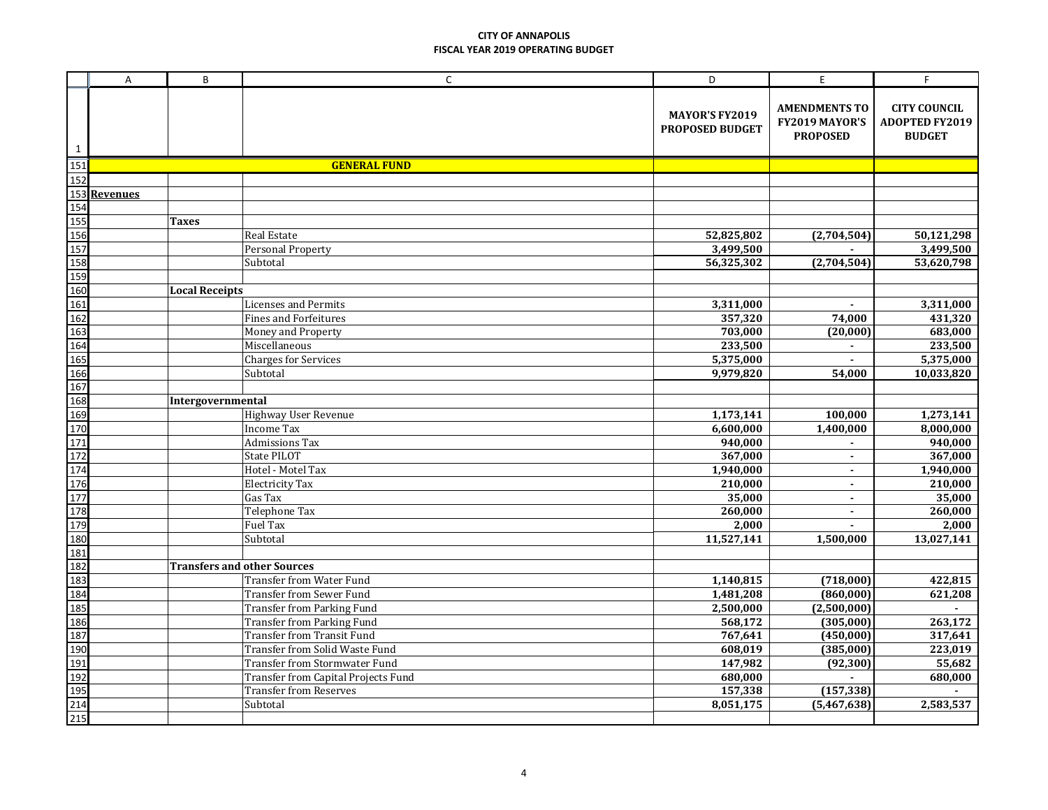|                                        | A                          | B                     | $\mathsf{C}$                        | D                                               | E                                                         | F                                                             |
|----------------------------------------|----------------------------|-----------------------|-------------------------------------|-------------------------------------------------|-----------------------------------------------------------|---------------------------------------------------------------|
| $\mathbf{1}$                           |                            |                       |                                     | <b>MAYOR'S FY2019</b><br><b>PROPOSED BUDGET</b> | <b>AMENDMENTS TO</b><br>FY2019 MAYOR'S<br><b>PROPOSED</b> | <b>CITY COUNCIL</b><br><b>ADOPTED FY2019</b><br><b>BUDGET</b> |
| 151                                    |                            |                       | <b>GENERAL FUND</b>                 |                                                 |                                                           |                                                               |
| 152                                    |                            |                       |                                     |                                                 |                                                           |                                                               |
|                                        | 153 Revenues<br>154<br>155 |                       |                                     |                                                 |                                                           |                                                               |
|                                        |                            |                       |                                     |                                                 |                                                           |                                                               |
|                                        |                            | <b>Taxes</b>          |                                     |                                                 |                                                           |                                                               |
|                                        |                            |                       | Real Estate                         | 52,825,802                                      | (2,704,504)                                               | 50,121,298                                                    |
|                                        |                            |                       | <b>Personal Property</b>            | 3,499,500                                       |                                                           | 3,499,500                                                     |
|                                        |                            |                       | Subtotal                            | 56,325,302                                      | (2,704,504)                                               | 53,620,798                                                    |
| 156<br>157<br>158<br>159<br>160        |                            |                       |                                     |                                                 |                                                           |                                                               |
|                                        |                            | <b>Local Receipts</b> |                                     |                                                 |                                                           |                                                               |
| 161                                    |                            |                       | Licenses and Permits                | 3,311,000                                       | $\blacksquare$                                            | 3,311,000                                                     |
| 162<br>163<br>164<br>165<br>166<br>167 |                            |                       | <b>Fines and Forfeitures</b>        | 357,320                                         | 74,000                                                    | 431,320                                                       |
|                                        |                            |                       | Money and Property                  | 703,000                                         | (20,000)                                                  | 683,000                                                       |
|                                        |                            |                       | Miscellaneous                       | 233,500                                         | $\blacksquare$                                            | 233,500                                                       |
|                                        |                            |                       | <b>Charges for Services</b>         | 5,375,000                                       | $\blacksquare$                                            | 5,375,000                                                     |
|                                        |                            |                       | Subtotal                            | 9,979,820                                       | 54,000                                                    | 10,033,820                                                    |
|                                        |                            |                       |                                     |                                                 |                                                           |                                                               |
| 168<br>169<br>170                      |                            | Intergovernmental     |                                     |                                                 |                                                           |                                                               |
|                                        |                            |                       | Highway User Revenue                | 1,173,141                                       | 100,000                                                   | 1,273,141                                                     |
|                                        |                            |                       | <b>Income Tax</b>                   | 6,600,000                                       | 1,400,000                                                 | 8,000,000                                                     |
| 171<br>172<br>174<br>176               |                            |                       | <b>Admissions Tax</b>               | 940,000                                         | $\blacksquare$                                            | 940,000                                                       |
|                                        |                            |                       | State PILOT                         | 367,000                                         | $\blacksquare$                                            | 367,000                                                       |
|                                        |                            |                       | Hotel - Motel Tax                   | 1,940,000                                       | $\blacksquare$                                            | 1,940,000                                                     |
|                                        |                            |                       | <b>Electricity Tax</b>              | 210,000                                         | $\blacksquare$                                            | 210,000                                                       |
|                                        |                            |                       | Gas Tax                             | 35,000                                          | $\blacksquare$                                            | 35,000                                                        |
| 177<br>178<br>179                      |                            |                       | Telephone Tax                       | 260,000                                         | $\blacksquare$                                            | 260,000                                                       |
|                                        |                            |                       | <b>Fuel Tax</b>                     | 2,000                                           |                                                           | 2,000                                                         |
| 180<br>181<br>182                      |                            |                       | Subtotal                            | 11,527,141                                      | 1,500,000                                                 | 13,027,141                                                    |
|                                        |                            |                       |                                     |                                                 |                                                           |                                                               |
|                                        |                            |                       | <b>Transfers and other Sources</b>  |                                                 |                                                           |                                                               |
|                                        |                            |                       | Transfer from Water Fund            | 1,140,815                                       | (718,000)                                                 | 422,815                                                       |
| 183<br>184<br>185                      |                            |                       | <b>Transfer from Sewer Fund</b>     | 1,481,208                                       | (860,000)                                                 | 621,208                                                       |
|                                        |                            |                       | Transfer from Parking Fund          | 2,500,000                                       | (2,500,000)                                               |                                                               |
| 186<br>186<br>187<br>190<br>191        |                            |                       | <b>Transfer from Parking Fund</b>   | 568,172                                         | (305,000)                                                 | 263,172                                                       |
|                                        |                            |                       | <b>Transfer from Transit Fund</b>   | 767,641                                         | (450,000)                                                 | 317,641                                                       |
|                                        |                            |                       | Transfer from Solid Waste Fund      | 608,019                                         | (385,000)                                                 | 223,019                                                       |
|                                        |                            |                       | Transfer from Stormwater Fund       | 147,982                                         | (92, 300)                                                 | 55,682                                                        |
| 192<br>195<br>214<br>215               |                            |                       | Transfer from Capital Projects Fund | 680,000                                         |                                                           | 680,000                                                       |
|                                        |                            |                       | <b>Transfer from Reserves</b>       | 157,338                                         | (157, 338)                                                |                                                               |
|                                        |                            |                       | Subtotal                            | 8,051,175                                       | (5,467,638)                                               | 2,583,537                                                     |
|                                        |                            |                       |                                     |                                                 |                                                           |                                                               |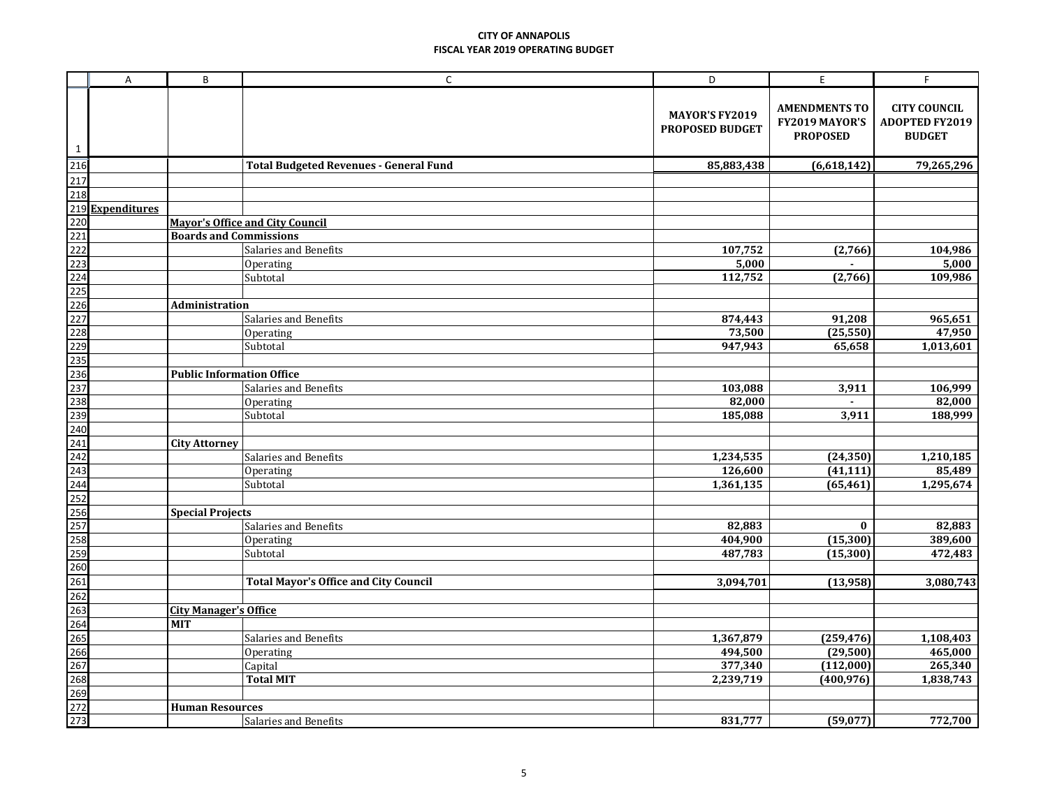|             | $\overline{A}$ | B                                | $\mathsf{C}$                                  | D                                               | E.                                                        | F                                                             |
|-------------|----------------|----------------------------------|-----------------------------------------------|-------------------------------------------------|-----------------------------------------------------------|---------------------------------------------------------------|
| $\mathbf 1$ |                |                                  |                                               | <b>MAYOR'S FY2019</b><br><b>PROPOSED BUDGET</b> | <b>AMENDMENTS TO</b><br>FY2019 MAYOR'S<br><b>PROPOSED</b> | <b>CITY COUNCIL</b><br><b>ADOPTED FY2019</b><br><b>BUDGET</b> |
|             |                |                                  | <b>Total Budgeted Revenues - General Fund</b> | 85,883,438                                      | (6,618,142)                                               | 79,265,296                                                    |
|             |                |                                  |                                               |                                                 |                                                           |                                                               |
|             |                |                                  |                                               |                                                 |                                                           |                                                               |
|             |                |                                  |                                               |                                                 |                                                           |                                                               |
|             |                |                                  | <b>Mayor's Office and City Council</b>        |                                                 |                                                           |                                                               |
|             |                | <b>Boards and Commissions</b>    |                                               |                                                 |                                                           |                                                               |
|             |                |                                  | Salaries and Benefits                         | 107,752                                         | (2,766)                                                   | 104,986                                                       |
|             |                |                                  | Operating                                     | 5,000                                           |                                                           | 5,000                                                         |
|             |                |                                  | Subtotal                                      | 112,752                                         | (2,766)                                                   | 109,986                                                       |
|             |                |                                  |                                               |                                                 |                                                           |                                                               |
|             |                | <b>Administration</b>            |                                               |                                                 |                                                           |                                                               |
|             |                |                                  | Salaries and Benefits                         | 874,443                                         | 91,208                                                    | 965,651                                                       |
|             |                |                                  | Operating<br>Subtotal                         | 73,500<br>947,943                               | (25, 550)<br>65,658                                       | 47,950<br>1,013,601                                           |
|             |                |                                  |                                               |                                                 |                                                           |                                                               |
|             |                | <b>Public Information Office</b> |                                               |                                                 |                                                           |                                                               |
|             |                |                                  | Salaries and Benefits                         | 103,088                                         | 3,911                                                     | 106,999                                                       |
|             |                |                                  | Operating                                     | 82,000                                          | $\blacksquare$                                            | 82,000                                                        |
|             |                |                                  | Subtotal                                      | 185,088                                         | 3,911                                                     | 188,999                                                       |
|             |                |                                  |                                               |                                                 |                                                           |                                                               |
|             |                | <b>City Attorney</b>             |                                               |                                                 |                                                           |                                                               |
|             |                |                                  | Salaries and Benefits                         | 1,234,535                                       | (24, 350)                                                 | 1,210,185                                                     |
|             |                |                                  | Operating                                     | 126,600                                         | (41, 111)                                                 | 85,489                                                        |
|             |                |                                  | Subtotal                                      | 1,361,135                                       | (65, 461)                                                 | 1,295,674                                                     |
|             |                |                                  |                                               |                                                 |                                                           |                                                               |
|             |                | <b>Special Projects</b>          |                                               |                                                 |                                                           |                                                               |
|             |                |                                  | Salaries and Benefits                         | 82,883                                          | $\bf{0}$                                                  | 82,883                                                        |
|             |                |                                  | Operating                                     | 404,900                                         | (15, 300)                                                 | 389,600                                                       |
|             |                |                                  | Subtotal                                      | 487,783                                         | (15, 300)                                                 | 472,483                                                       |
|             |                |                                  |                                               |                                                 |                                                           |                                                               |
|             |                |                                  | <b>Total Mayor's Office and City Council</b>  | 3,094,701                                       | (13, 958)                                                 | 3,080,743                                                     |
|             |                |                                  |                                               |                                                 |                                                           |                                                               |
|             |                | <b>City Manager's Office</b>     |                                               |                                                 |                                                           |                                                               |
|             |                | <b>MIT</b>                       |                                               |                                                 |                                                           |                                                               |
|             |                |                                  | Salaries and Benefits                         | 1,367,879                                       | (259, 476)                                                | 1,108,403                                                     |
|             |                |                                  | Operating                                     | 494,500                                         | (29, 500)                                                 | 465,000                                                       |
|             |                |                                  | Capital<br><b>Total MIT</b>                   | 377,340<br>2,239,719                            | (112,000)                                                 | 265,340<br>1,838,743                                          |
|             |                |                                  |                                               |                                                 | (400, 976)                                                |                                                               |
|             |                | <b>Human Resources</b>           |                                               |                                                 |                                                           |                                                               |
|             |                |                                  |                                               |                                                 |                                                           | 772,700                                                       |
|             |                |                                  | Salaries and Benefits                         | 831,777                                         | (59,077)                                                  |                                                               |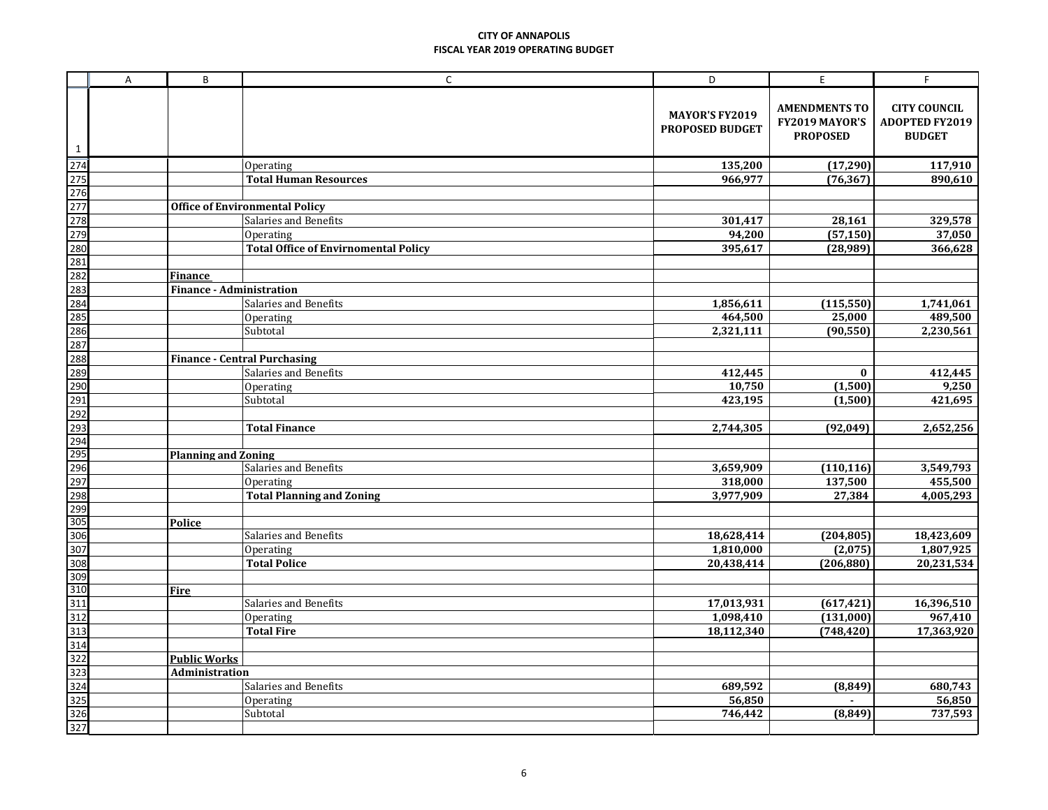|                  | A | B                               | $\mathsf C$                                 | D                                        | E                                                         | F.                                                            |
|------------------|---|---------------------------------|---------------------------------------------|------------------------------------------|-----------------------------------------------------------|---------------------------------------------------------------|
| $\mathbf{1}$     |   |                                 |                                             | <b>MAYOR'S FY2019</b><br>PROPOSED BUDGET | <b>AMENDMENTS TO</b><br>FY2019 MAYOR'S<br><b>PROPOSED</b> | <b>CITY COUNCIL</b><br><b>ADOPTED FY2019</b><br><b>BUDGET</b> |
| $\overline{274}$ |   |                                 | Operating                                   | 135,200                                  | (17,290)                                                  | 117,910                                                       |
| 275              |   |                                 | <b>Total Human Resources</b>                | 966,977                                  | (76, 367)                                                 | 890,610                                                       |
| 276              |   |                                 |                                             |                                          |                                                           |                                                               |
| 277              |   |                                 | <b>Office of Environmental Policy</b>       |                                          |                                                           |                                                               |
| 278              |   |                                 | Salaries and Benefits                       | 301,417                                  | 28,161                                                    | 329,578                                                       |
| 279              |   |                                 | Operating                                   | 94,200                                   | (57, 150)                                                 | 37,050                                                        |
| 280              |   |                                 | <b>Total Office of Envirnomental Policy</b> | 395,617                                  | (28, 989)                                                 | 366,628                                                       |
| 281              |   |                                 |                                             |                                          |                                                           |                                                               |
| 282              |   | Finance                         |                                             |                                          |                                                           |                                                               |
| 283              |   | <b>Finance - Administration</b> |                                             |                                          |                                                           |                                                               |
| 284              |   |                                 | Salaries and Benefits                       | 1,856,611                                | (115, 550)                                                | 1,741,061                                                     |
| 285              |   |                                 | Operating                                   | 464,500                                  | 25,000                                                    | 489,500                                                       |
| 286              |   |                                 | Subtotal                                    | 2,321,111                                | (90, 550)                                                 | 2,230,561                                                     |
| 287              |   |                                 |                                             |                                          |                                                           |                                                               |
| 288              |   |                                 | <b>Finance - Central Purchasing</b>         |                                          |                                                           |                                                               |
| 289              |   |                                 | Salaries and Benefits                       | 412,445                                  | $\bf{0}$                                                  | 412,445                                                       |
| 290              |   |                                 | Operating                                   | 10,750                                   | (1,500)                                                   | 9,250                                                         |
| 291              |   |                                 | Subtotal                                    | 423,195                                  | (1,500)                                                   | 421,695                                                       |
| 292              |   |                                 |                                             |                                          |                                                           |                                                               |
| 293              |   |                                 | <b>Total Finance</b>                        | 2,744,305                                | (92, 049)                                                 | 2,652,256                                                     |
| 294              |   |                                 |                                             |                                          |                                                           |                                                               |
| 295              |   | <b>Planning and Zoning</b>      |                                             |                                          |                                                           |                                                               |
| 296              |   |                                 | Salaries and Benefits                       | 3,659,909                                | (110, 116)                                                | 3,549,793                                                     |
| 297              |   |                                 | Operating                                   | 318,000                                  | 137,500                                                   | 455,500                                                       |
| 298              |   |                                 | <b>Total Planning and Zoning</b>            | 3,977,909                                | 27,384                                                    | 4,005,293                                                     |
| 299<br>305       |   | Police                          |                                             |                                          |                                                           |                                                               |
| 306              |   |                                 | Salaries and Benefits                       | 18,628,414                               | (204, 805)                                                | 18,423,609                                                    |
| 307              |   |                                 | Operating                                   | 1,810,000                                | (2,075)                                                   | 1,807,925                                                     |
| 308              |   |                                 | <b>Total Police</b>                         | 20,438,414                               | (206, 880)                                                | 20,231,534                                                    |
| 309              |   |                                 |                                             |                                          |                                                           |                                                               |
| 310              |   | <b>Fire</b>                     |                                             |                                          |                                                           |                                                               |
| 311              |   |                                 | Salaries and Benefits                       | 17,013,931                               | (617, 421)                                                | 16,396,510                                                    |
| 312              |   |                                 | Operating                                   | 1,098,410                                | (131,000)                                                 | $\overline{967,}410$                                          |
| 313              |   |                                 | <b>Total Fire</b>                           | 18,112,340                               | (748, 420)                                                | 17,363,920                                                    |
| 314              |   |                                 |                                             |                                          |                                                           |                                                               |
| 322              |   | <b>Public Works</b>             |                                             |                                          |                                                           |                                                               |
| 323              |   | Administration                  |                                             |                                          |                                                           |                                                               |
| 324              |   |                                 | Salaries and Benefits                       | 689,592                                  | (8, 849)                                                  | 680,743                                                       |
| 325              |   |                                 | Operating                                   | 56,850                                   | $\blacksquare$                                            | 56,850                                                        |
| 326              |   |                                 | Subtotal                                    | 746,442                                  | (8, 849)                                                  | 737,593                                                       |
| 327              |   |                                 |                                             |                                          |                                                           |                                                               |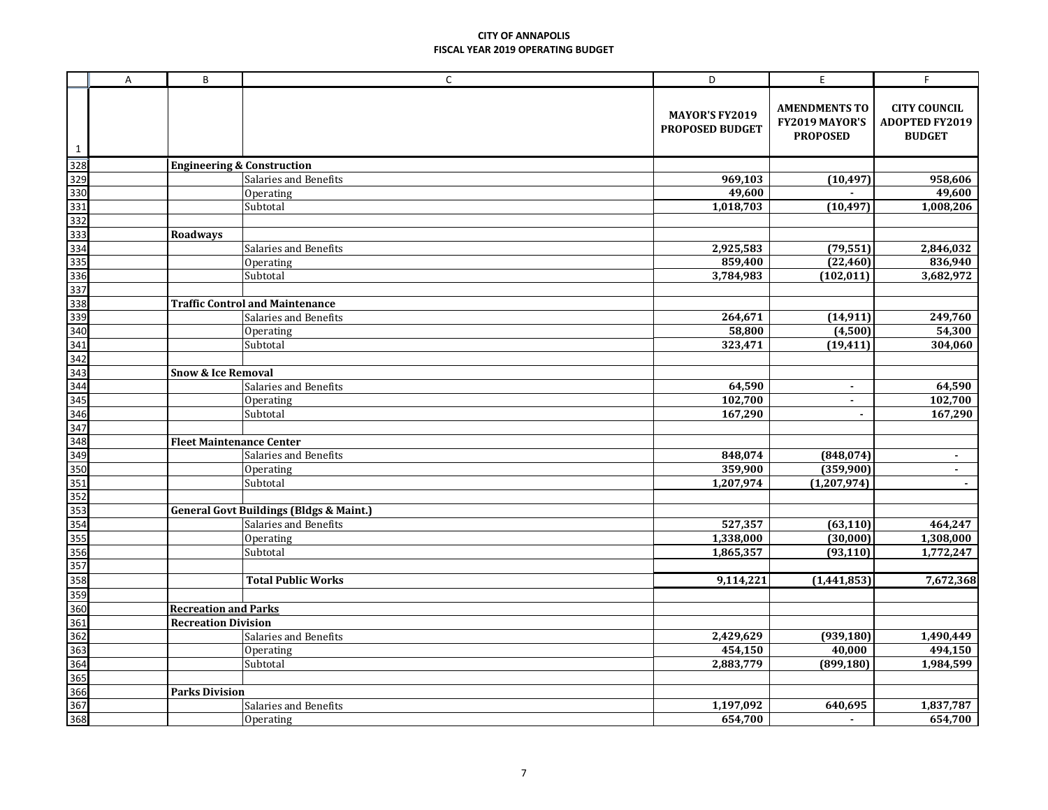|              | $\overline{A}$ | B                                     | $\mathsf{C}$                                       | D                                               | E                                                         | F.                                                            |  |
|--------------|----------------|---------------------------------------|----------------------------------------------------|-------------------------------------------------|-----------------------------------------------------------|---------------------------------------------------------------|--|
| $\mathbf{1}$ |                |                                       |                                                    | <b>MAYOR'S FY2019</b><br><b>PROPOSED BUDGET</b> | <b>AMENDMENTS TO</b><br>FY2019 MAYOR'S<br><b>PROPOSED</b> | <b>CITY COUNCIL</b><br><b>ADOPTED FY2019</b><br><b>BUDGET</b> |  |
| 328          |                | <b>Engineering &amp; Construction</b> |                                                    |                                                 |                                                           |                                                               |  |
| 329          |                |                                       | Salaries and Benefits                              | 969,103                                         | (10, 497)                                                 | 958,606                                                       |  |
| 330          |                |                                       | Operating                                          | 49,600                                          |                                                           | 49,600                                                        |  |
| 331          |                |                                       | Subtotal                                           | 1,018,703                                       | (10, 497)                                                 | 1,008,206                                                     |  |
| 332          |                |                                       |                                                    |                                                 |                                                           |                                                               |  |
| 333          |                | <b>Roadways</b>                       |                                                    |                                                 |                                                           |                                                               |  |
| 334          |                |                                       | Salaries and Benefits                              | 2,925,583                                       | (79, 551)                                                 | 2,846,032                                                     |  |
| 335          |                |                                       | Operating                                          | 859,400                                         | (22, 460)                                                 | 836,940                                                       |  |
| 336          |                |                                       | Subtotal                                           | 3,784,983                                       | (102, 011)                                                | 3,682,972                                                     |  |
| 337          |                |                                       |                                                    |                                                 |                                                           |                                                               |  |
| 338          |                |                                       | <b>Traffic Control and Maintenance</b>             |                                                 |                                                           |                                                               |  |
| 339          |                |                                       | Salaries and Benefits                              | 264,671                                         | (14, 911)                                                 | 249,760                                                       |  |
| 340          |                |                                       | Operating                                          | 58,800                                          | (4,500)                                                   | 54,300                                                        |  |
| 341          |                |                                       | Subtotal                                           | 323,471                                         | (19, 411)                                                 | 304,060                                                       |  |
| 342          |                |                                       |                                                    |                                                 |                                                           |                                                               |  |
| 343          |                | <b>Snow &amp; Ice Removal</b>         |                                                    |                                                 |                                                           |                                                               |  |
| 344          |                |                                       | Salaries and Benefits                              | 64,590                                          | $\blacksquare$                                            | 64,590                                                        |  |
| 345          |                |                                       | Operating                                          | 102,700                                         | $\sim$                                                    | 102,700                                                       |  |
| 346          |                |                                       | Subtotal                                           | 167,290                                         | $\blacksquare$                                            | 167,290                                                       |  |
| 347          |                |                                       |                                                    |                                                 |                                                           |                                                               |  |
| 348          |                | <b>Fleet Maintenance Center</b>       |                                                    |                                                 |                                                           |                                                               |  |
| 349          |                |                                       | Salaries and Benefits                              | 848,074                                         | (848, 074)                                                |                                                               |  |
| 350          |                |                                       | Operating                                          | 359,900                                         | (359,900)                                                 | $\blacksquare$                                                |  |
| 351          |                |                                       | Subtotal                                           | 1,207,974                                       | (1, 207, 974)                                             |                                                               |  |
| 352          |                |                                       |                                                    |                                                 |                                                           |                                                               |  |
| 353          |                |                                       | <b>General Govt Buildings (Bldgs &amp; Maint.)</b> |                                                 |                                                           |                                                               |  |
| 354          |                |                                       | Salaries and Benefits                              | 527,357                                         | (63, 110)                                                 | 464,247                                                       |  |
| 355          |                |                                       | Operating                                          | 1,338,000                                       | (30,000)                                                  | 1,308,000                                                     |  |
| 356          |                |                                       | Subtotal                                           | 1,865,357                                       | (93, 110)                                                 | 1,772,247                                                     |  |
| 357          |                |                                       |                                                    |                                                 |                                                           |                                                               |  |
| 358          |                |                                       | <b>Total Public Works</b>                          | 9,114,221                                       | (1,441,853)                                               | 7,672,368                                                     |  |
| 359          |                |                                       |                                                    |                                                 |                                                           |                                                               |  |
| 360          |                | <b>Recreation and Parks</b>           |                                                    |                                                 |                                                           |                                                               |  |
| 361          |                | <b>Recreation Division</b>            |                                                    |                                                 |                                                           |                                                               |  |
| 362          |                |                                       | Salaries and Benefits                              | 2,429,629                                       | (939, 180)                                                | 1,490,449                                                     |  |
| 363          |                |                                       | Operating                                          | 454,150                                         | 40,000                                                    | 494,150                                                       |  |
| 364          |                |                                       | Subtotal                                           | 2,883,779                                       | (899, 180)                                                | 1,984,599                                                     |  |
| 365          |                |                                       |                                                    |                                                 |                                                           |                                                               |  |
| 366          |                | <b>Parks Division</b>                 |                                                    |                                                 |                                                           |                                                               |  |
| 367          |                |                                       | Salaries and Benefits                              | 1,197,092                                       | 640,695                                                   | 1,837,787                                                     |  |
| 368          |                |                                       | Operating                                          | 654,700                                         |                                                           | 654,700                                                       |  |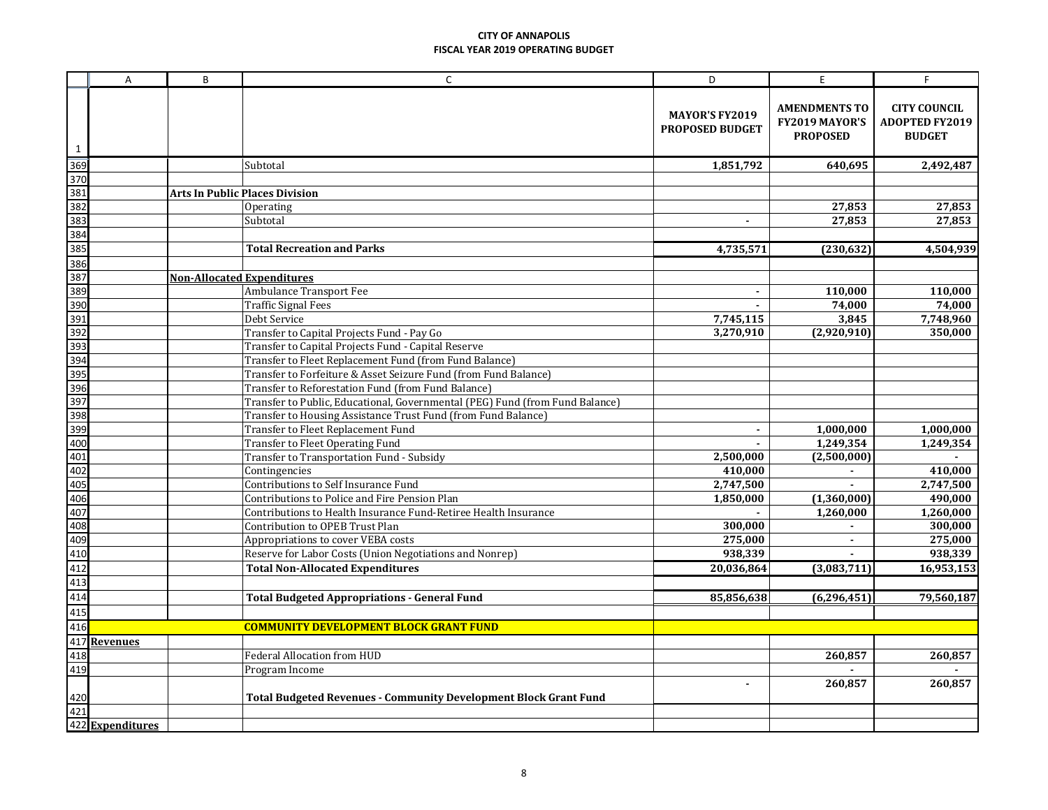|                                                                    | A                | B                                 | $\mathsf{C}$                                                                 | D                                               | E                                                         | F                                                             |
|--------------------------------------------------------------------|------------------|-----------------------------------|------------------------------------------------------------------------------|-------------------------------------------------|-----------------------------------------------------------|---------------------------------------------------------------|
| $\mathbf{1}$                                                       |                  |                                   |                                                                              | <b>MAYOR'S FY2019</b><br><b>PROPOSED BUDGET</b> | <b>AMENDMENTS TO</b><br>FY2019 MAYOR'S<br><b>PROPOSED</b> | <b>CITY COUNCIL</b><br><b>ADOPTED FY2019</b><br><b>BUDGET</b> |
|                                                                    |                  |                                   | Subtotal                                                                     | 1,851,792                                       | 640,695                                                   | 2,492,487                                                     |
|                                                                    |                  |                                   |                                                                              |                                                 |                                                           |                                                               |
|                                                                    |                  |                                   | <b>Arts In Public Places Division</b>                                        |                                                 |                                                           |                                                               |
|                                                                    |                  |                                   | Operating                                                                    |                                                 | 27,853                                                    | 27,853                                                        |
|                                                                    |                  |                                   | Subtotal                                                                     |                                                 | 27,853                                                    | 27,853                                                        |
|                                                                    |                  |                                   |                                                                              |                                                 |                                                           |                                                               |
|                                                                    |                  |                                   | <b>Total Recreation and Parks</b>                                            | 4,735,571                                       | (230, 632)                                                | 4,504,939                                                     |
|                                                                    |                  |                                   |                                                                              |                                                 |                                                           |                                                               |
|                                                                    |                  | <b>Non-Allocated Expenditures</b> |                                                                              |                                                 |                                                           |                                                               |
|                                                                    |                  |                                   | Ambulance Transport Fee                                                      | $\overline{a}$                                  | 110,000                                                   | 110,000                                                       |
|                                                                    |                  |                                   | <b>Traffic Signal Fees</b>                                                   |                                                 | 74,000                                                    | 74,000                                                        |
|                                                                    |                  |                                   | Debt Service                                                                 | 7,745,115                                       | 3,845                                                     | 7,748,960                                                     |
|                                                                    |                  |                                   | Transfer to Capital Projects Fund - Pay Go                                   | 3,270,910                                       | (2,920,910)                                               | 350,000                                                       |
|                                                                    |                  |                                   | Transfer to Capital Projects Fund - Capital Reserve                          |                                                 |                                                           |                                                               |
|                                                                    |                  |                                   | Transfer to Fleet Replacement Fund (from Fund Balance)                       |                                                 |                                                           |                                                               |
|                                                                    |                  |                                   | Transfer to Forfeiture & Asset Seizure Fund (from Fund Balance)              |                                                 |                                                           |                                                               |
|                                                                    |                  |                                   | Transfer to Reforestation Fund (from Fund Balance)                           |                                                 |                                                           |                                                               |
|                                                                    |                  |                                   | Transfer to Public, Educational, Governmental (PEG) Fund (from Fund Balance) |                                                 |                                                           |                                                               |
|                                                                    |                  |                                   | Transfer to Housing Assistance Trust Fund (from Fund Balance)                |                                                 |                                                           |                                                               |
|                                                                    |                  |                                   | Transfer to Fleet Replacement Fund                                           | $\blacksquare$                                  | 1,000,000                                                 | 1,000,000                                                     |
|                                                                    |                  |                                   | Transfer to Fleet Operating Fund                                             |                                                 | 1,249,354                                                 | 1,249,354                                                     |
|                                                                    |                  |                                   | Transfer to Transportation Fund - Subsidy                                    | 2,500,000                                       | (2,500,000)                                               |                                                               |
|                                                                    |                  |                                   | Contingencies                                                                | 410,000                                         | $\blacksquare$                                            | 410,000                                                       |
|                                                                    |                  |                                   | Contributions to Self Insurance Fund                                         | 2,747,500                                       | $\blacksquare$                                            | 2,747,500                                                     |
|                                                                    |                  |                                   | Contributions to Police and Fire Pension Plan                                | 1.850.000                                       | (1,360,000)                                               | 490,000                                                       |
|                                                                    |                  |                                   | Contributions to Health Insurance Fund-Retiree Health Insurance              |                                                 | 1,260,000                                                 | 1,260,000                                                     |
|                                                                    |                  |                                   | Contribution to OPEB Trust Plan                                              | 300,000                                         |                                                           | 300,000                                                       |
|                                                                    |                  |                                   | Appropriations to cover VEBA costs                                           | 275,000                                         | $\blacksquare$                                            | 275,000                                                       |
|                                                                    |                  |                                   | Reserve for Labor Costs (Union Negotiations and Nonrep)                      | 938,339                                         |                                                           | 938,339                                                       |
|                                                                    |                  |                                   | <b>Total Non-Allocated Expenditures</b>                                      | 20,036,864                                      | (3,083,711)                                               | 16,953,153                                                    |
|                                                                    |                  |                                   |                                                                              |                                                 |                                                           |                                                               |
|                                                                    |                  |                                   | <b>Total Budgeted Appropriations - General Fund</b>                          | 85,856,638                                      | (6, 296, 451)                                             | 79,560,187                                                    |
|                                                                    |                  |                                   |                                                                              |                                                 |                                                           |                                                               |
|                                                                    |                  |                                   | <b>COMMUNITY DEVELOPMENT BLOCK GRANT FUND</b>                                |                                                 |                                                           |                                                               |
|                                                                    | <b>Revenues</b>  |                                   |                                                                              |                                                 |                                                           |                                                               |
| 408<br>409<br>410<br>412<br>413<br>414<br>415<br>417<br>418<br>419 |                  |                                   | <b>Federal Allocation from HUD</b>                                           |                                                 | 260,857                                                   | 260,857                                                       |
|                                                                    |                  |                                   | Program Income                                                               |                                                 |                                                           |                                                               |
|                                                                    |                  |                                   | <b>Total Budgeted Revenues - Community Development Block Grant Fund</b>      |                                                 | 260,857                                                   | 260,857                                                       |
| $\frac{420}{421}$                                                  |                  |                                   |                                                                              |                                                 |                                                           |                                                               |
|                                                                    | 422 Expenditures |                                   |                                                                              |                                                 |                                                           |                                                               |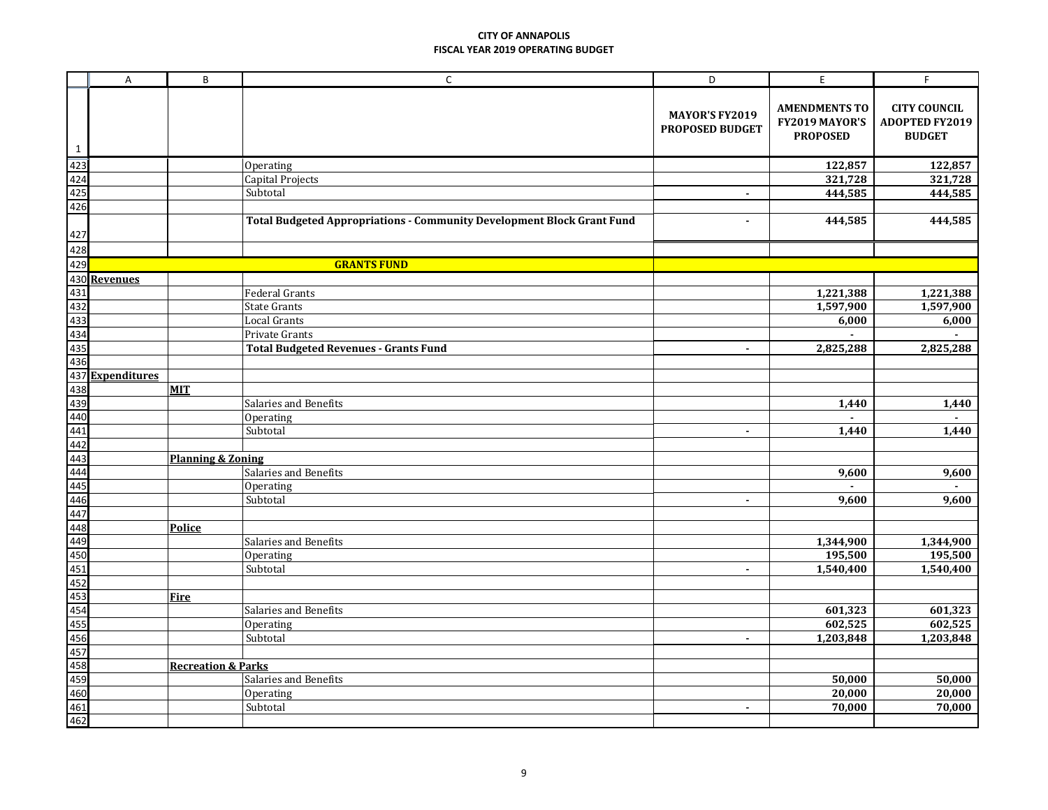|                                                     | $\overline{A}$ | B                             | $\mathsf{C}$                                                           | D                                        | E                                                         | F.                                                            |
|-----------------------------------------------------|----------------|-------------------------------|------------------------------------------------------------------------|------------------------------------------|-----------------------------------------------------------|---------------------------------------------------------------|
| $\mathbf{1}$                                        |                |                               |                                                                        | <b>MAYOR'S FY2019</b><br>PROPOSED BUDGET | <b>AMENDMENTS TO</b><br>FY2019 MAYOR'S<br><b>PROPOSED</b> | <b>CITY COUNCIL</b><br><b>ADOPTED FY2019</b><br><b>BUDGET</b> |
| $\frac{1}{423}$ $\frac{424}{425}$ $\frac{425}{426}$ |                |                               | Operating                                                              |                                          | 122,857                                                   | 122,857                                                       |
|                                                     |                |                               | Capital Projects                                                       |                                          | 321,728                                                   | 321,728                                                       |
|                                                     |                |                               | Subtotal                                                               |                                          | 444,585                                                   | 444,585                                                       |
|                                                     |                |                               |                                                                        |                                          |                                                           |                                                               |
|                                                     |                |                               | Total Budgeted Appropriations - Community Development Block Grant Fund | $\blacksquare$                           | 444,585                                                   | 444,585                                                       |
|                                                     |                |                               |                                                                        |                                          |                                                           |                                                               |
|                                                     |                |                               | <b>GRANTS FUND</b>                                                     |                                          |                                                           |                                                               |
|                                                     |                |                               |                                                                        |                                          |                                                           |                                                               |
|                                                     |                |                               | <b>Federal Grants</b>                                                  |                                          | 1,221,388                                                 | 1,221,388                                                     |
|                                                     |                |                               | <b>State Grants</b>                                                    |                                          | 1,597,900                                                 | 1,597,900                                                     |
|                                                     |                |                               | <b>Local Grants</b>                                                    |                                          | 6,000                                                     | 6,000                                                         |
|                                                     |                |                               | Private Grants                                                         |                                          |                                                           |                                                               |
|                                                     |                |                               | <b>Total Budgeted Revenues - Grants Fund</b>                           | $\blacksquare$                           | 2,825,288                                                 | 2,825,288                                                     |
|                                                     |                |                               |                                                                        |                                          |                                                           |                                                               |
|                                                     |                |                               |                                                                        |                                          |                                                           |                                                               |
|                                                     |                | <b>MIT</b>                    |                                                                        |                                          |                                                           |                                                               |
|                                                     |                |                               | Salaries and Benefits                                                  |                                          | 1,440                                                     | 1,440                                                         |
|                                                     |                |                               | Operating                                                              |                                          | $\overline{a}$                                            |                                                               |
|                                                     |                |                               | Subtotal                                                               | $\blacksquare$                           | 1,440                                                     | 1,440                                                         |
|                                                     |                |                               |                                                                        |                                          |                                                           |                                                               |
|                                                     |                | <b>Planning &amp; Zoning</b>  |                                                                        |                                          |                                                           |                                                               |
|                                                     |                |                               | Salaries and Benefits                                                  |                                          | 9,600                                                     | 9,600                                                         |
|                                                     |                |                               | Operating                                                              |                                          |                                                           |                                                               |
|                                                     |                |                               | Subtotal                                                               | $\blacksquare$                           | 9,600                                                     | 9,600                                                         |
|                                                     |                |                               |                                                                        |                                          |                                                           |                                                               |
|                                                     |                | Police                        |                                                                        |                                          |                                                           |                                                               |
|                                                     |                |                               | Salaries and Benefits                                                  |                                          | 1,344,900                                                 | 1,344,900                                                     |
|                                                     |                |                               | Operating                                                              |                                          | 195,500                                                   | 195,500                                                       |
|                                                     |                |                               | Subtotal                                                               | $\blacksquare$                           | 1,540,400                                                 | 1,540,400                                                     |
|                                                     |                | <b>Fire</b>                   |                                                                        |                                          |                                                           |                                                               |
|                                                     |                |                               | Salaries and Benefits                                                  |                                          | 601,323                                                   | 601,323                                                       |
|                                                     |                |                               | Operating                                                              |                                          | 602,525                                                   | 602,525                                                       |
|                                                     |                |                               | Subtotal                                                               | $\blacksquare$                           | 1,203,848                                                 | 1,203,848                                                     |
|                                                     |                |                               |                                                                        |                                          |                                                           |                                                               |
|                                                     |                | <b>Recreation &amp; Parks</b> |                                                                        |                                          |                                                           |                                                               |
|                                                     |                |                               | Salaries and Benefits                                                  |                                          | 50,000                                                    | 50,000                                                        |
|                                                     |                |                               | Operating                                                              |                                          | 20,000                                                    | 20,000                                                        |
|                                                     |                |                               | Subtotal                                                               | $\blacksquare$                           | 70,000                                                    | 70,000                                                        |
|                                                     |                |                               |                                                                        |                                          |                                                           |                                                               |
|                                                     |                |                               |                                                                        |                                          |                                                           |                                                               |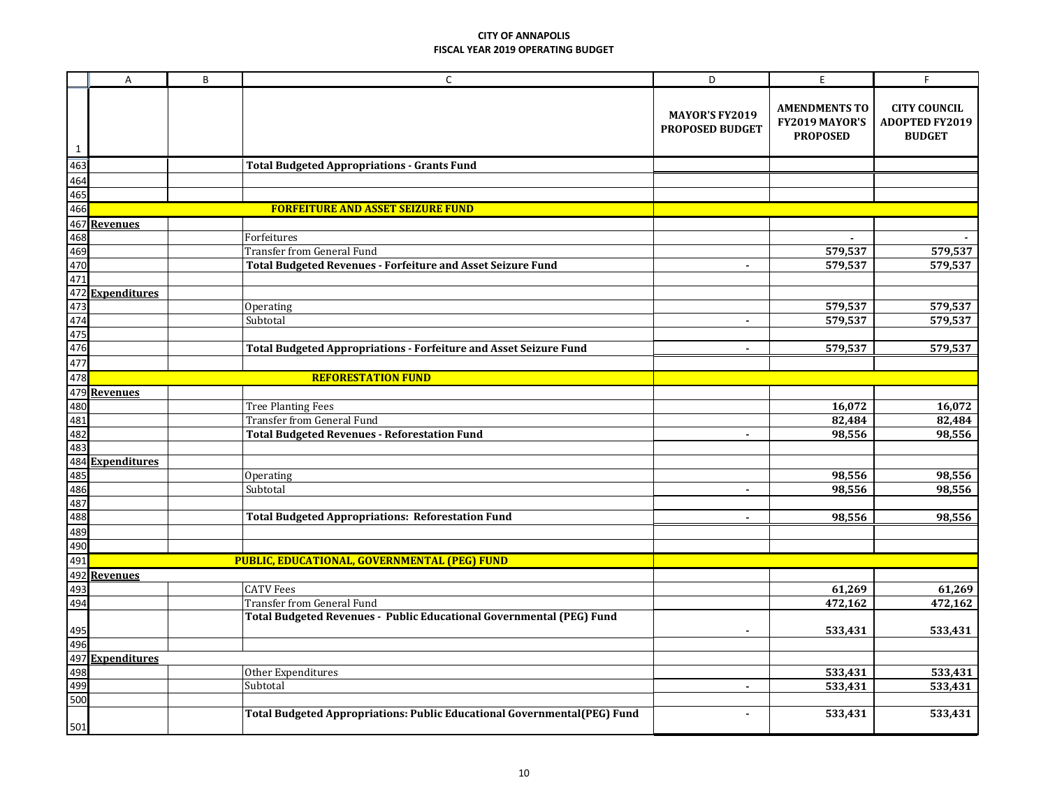|              | A                                                          | B | C                                                                        | D                                               | E                                                         | F                                                             |
|--------------|------------------------------------------------------------|---|--------------------------------------------------------------------------|-------------------------------------------------|-----------------------------------------------------------|---------------------------------------------------------------|
| $\mathbf{1}$ |                                                            |   |                                                                          | <b>MAYOR'S FY2019</b><br><b>PROPOSED BUDGET</b> | <b>AMENDMENTS TO</b><br>FY2019 MAYOR'S<br><b>PROPOSED</b> | <b>CITY COUNCIL</b><br><b>ADOPTED FY2019</b><br><b>BUDGET</b> |
|              |                                                            |   | <b>Total Budgeted Appropriations - Grants Fund</b>                       |                                                 |                                                           |                                                               |
|              |                                                            |   |                                                                          |                                                 |                                                           |                                                               |
|              |                                                            |   |                                                                          |                                                 |                                                           |                                                               |
|              |                                                            |   | <b>FORFEITURE AND ASSET SEIZURE FUND</b>                                 |                                                 |                                                           |                                                               |
|              |                                                            |   |                                                                          |                                                 |                                                           |                                                               |
|              |                                                            |   | Forfeitures                                                              |                                                 |                                                           |                                                               |
|              |                                                            |   | <b>Transfer from General Fund</b>                                        |                                                 | 579,537                                                   | 579,537                                                       |
|              |                                                            |   | Total Budgeted Revenues - Forfeiture and Asset Seizure Fund              |                                                 | 579,537                                                   | 579,537                                                       |
|              |                                                            |   |                                                                          |                                                 |                                                           |                                                               |
|              |                                                            |   |                                                                          |                                                 |                                                           |                                                               |
|              |                                                            |   | Operating                                                                |                                                 | 579,537                                                   | 579,537                                                       |
|              |                                                            |   | Subtotal                                                                 | $\blacksquare$                                  | 579,537                                                   | 579,537                                                       |
|              |                                                            |   |                                                                          |                                                 |                                                           |                                                               |
|              |                                                            |   | Total Budgeted Appropriations - Forfeiture and Asset Seizure Fund        | $\blacksquare$                                  | 579,537                                                   | 579,537                                                       |
|              |                                                            |   |                                                                          |                                                 |                                                           |                                                               |
|              |                                                            |   | <b>REFORESTATION FUND</b>                                                |                                                 |                                                           |                                                               |
|              |                                                            |   |                                                                          |                                                 |                                                           |                                                               |
|              |                                                            |   | <b>Tree Planting Fees</b><br><b>Transfer from General Fund</b>           |                                                 | 16,072                                                    | 16,072                                                        |
|              |                                                            |   | <b>Total Budgeted Revenues - Reforestation Fund</b>                      | $\blacksquare$                                  | 82,484<br>98,556                                          | 82,484<br>98,556                                              |
|              |                                                            |   |                                                                          |                                                 |                                                           |                                                               |
|              |                                                            |   |                                                                          |                                                 |                                                           |                                                               |
|              |                                                            |   | Operating                                                                |                                                 | 98,556                                                    | 98,556                                                        |
|              |                                                            |   | Subtotal                                                                 | $\blacksquare$                                  | 98,556                                                    | 98,556                                                        |
|              |                                                            |   |                                                                          |                                                 |                                                           |                                                               |
|              |                                                            |   | <b>Total Budgeted Appropriations: Reforestation Fund</b>                 | $\blacksquare$                                  | 98,556                                                    | 98,556                                                        |
|              |                                                            |   |                                                                          |                                                 |                                                           |                                                               |
|              |                                                            |   |                                                                          |                                                 |                                                           |                                                               |
|              |                                                            |   | <b>PUBLIC, EDUCATIONAL, GOVERNMENTAL (PEG) FUND</b>                      |                                                 |                                                           |                                                               |
|              |                                                            |   |                                                                          |                                                 |                                                           |                                                               |
| 493<br>494   |                                                            |   | <b>CATV Fees</b>                                                         |                                                 | 61,269                                                    | 61,269                                                        |
|              |                                                            |   | <b>Transfer from General Fund</b>                                        |                                                 | 472,162                                                   | 472,162                                                       |
|              |                                                            |   | Total Budgeted Revenues - Public Educational Governmental (PEG) Fund     |                                                 |                                                           |                                                               |
|              |                                                            |   |                                                                          |                                                 | 533,431                                                   | 533,431                                                       |
|              |                                                            |   |                                                                          |                                                 |                                                           |                                                               |
|              | 495<br>496<br>497 <u>Expenditures</u><br>498<br>500<br>500 |   |                                                                          |                                                 |                                                           |                                                               |
|              |                                                            |   | Other Expenditures                                                       |                                                 | 533,431                                                   | 533,431                                                       |
|              |                                                            |   | Subtotal                                                                 | $\blacksquare$                                  | 533,431                                                   | 533,431                                                       |
|              |                                                            |   |                                                                          |                                                 |                                                           |                                                               |
|              |                                                            |   | Total Budgeted Appropriations: Public Educational Governmental(PEG) Fund | $\blacksquare$                                  | 533,431                                                   | 533,431                                                       |
| 501          |                                                            |   |                                                                          |                                                 |                                                           |                                                               |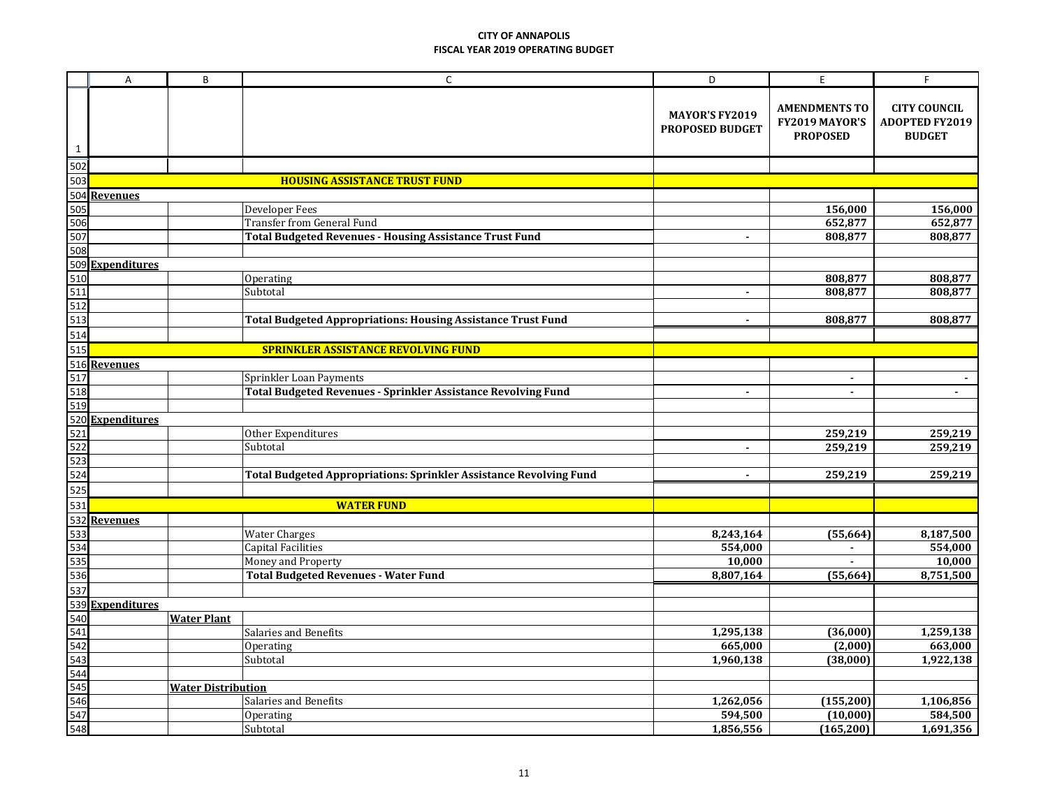|              | A                                          | B                         | $\mathsf C$                                                               | D                                               | E                                                         | F                                                             |  |  |  |
|--------------|--------------------------------------------|---------------------------|---------------------------------------------------------------------------|-------------------------------------------------|-----------------------------------------------------------|---------------------------------------------------------------|--|--|--|
| $\mathbf{1}$ |                                            |                           |                                                                           | <b>MAYOR'S FY2019</b><br><b>PROPOSED BUDGET</b> | <b>AMENDMENTS TO</b><br>FY2019 MAYOR'S<br><b>PROPOSED</b> | <b>CITY COUNCIL</b><br><b>ADOPTED FY2019</b><br><b>BUDGET</b> |  |  |  |
|              |                                            |                           |                                                                           |                                                 |                                                           |                                                               |  |  |  |
|              |                                            |                           | <b>HOUSING ASSISTANCE TRUST FUND</b>                                      |                                                 |                                                           |                                                               |  |  |  |
|              |                                            |                           |                                                                           |                                                 |                                                           |                                                               |  |  |  |
|              |                                            |                           | Developer Fees                                                            |                                                 | 156,000                                                   | 156,000                                                       |  |  |  |
|              |                                            |                           | <b>Transfer from General Fund</b>                                         |                                                 | 652,877                                                   | 652,877                                                       |  |  |  |
|              |                                            |                           | <b>Total Budgeted Revenues - Housing Assistance Trust Fund</b>            | $\blacksquare$                                  | 808,877                                                   | 808,877                                                       |  |  |  |
|              |                                            |                           |                                                                           |                                                 |                                                           |                                                               |  |  |  |
|              |                                            |                           |                                                                           |                                                 |                                                           |                                                               |  |  |  |
|              |                                            |                           | Operating                                                                 |                                                 | 808,877                                                   | 808,877                                                       |  |  |  |
|              |                                            |                           | Subtotal                                                                  | $\blacksquare$                                  | 808,877                                                   | 808,877                                                       |  |  |  |
|              |                                            |                           |                                                                           |                                                 |                                                           |                                                               |  |  |  |
|              |                                            |                           | <b>Total Budgeted Appropriations: Housing Assistance Trust Fund</b>       |                                                 | 808,877                                                   | 808,877                                                       |  |  |  |
|              |                                            |                           |                                                                           |                                                 |                                                           |                                                               |  |  |  |
|              | <b>SPRINKLER ASSISTANCE REVOLVING FUND</b> |                           |                                                                           |                                                 |                                                           |                                                               |  |  |  |
|              |                                            |                           |                                                                           |                                                 |                                                           |                                                               |  |  |  |
|              |                                            |                           | Sprinkler Loan Payments                                                   |                                                 | $\sim$                                                    |                                                               |  |  |  |
|              |                                            |                           | Total Budgeted Revenues - Sprinkler Assistance Revolving Fund             | $\blacksquare$                                  | $\blacksquare$                                            | $\blacksquare$                                                |  |  |  |
|              |                                            |                           |                                                                           |                                                 |                                                           |                                                               |  |  |  |
|              |                                            |                           |                                                                           |                                                 |                                                           |                                                               |  |  |  |
|              |                                            |                           | Other Expenditures                                                        | $\overline{a}$                                  | 259,219                                                   | 259,219                                                       |  |  |  |
|              |                                            |                           | Subtotal                                                                  |                                                 | 259,219                                                   | 259,219                                                       |  |  |  |
|              |                                            |                           | <b>Total Budgeted Appropriations: Sprinkler Assistance Revolving Fund</b> | $\overline{a}$                                  | 259,219                                                   | 259,219                                                       |  |  |  |
|              |                                            |                           |                                                                           |                                                 |                                                           |                                                               |  |  |  |
|              |                                            |                           | <b>WATER FUND</b>                                                         |                                                 |                                                           |                                                               |  |  |  |
|              |                                            |                           |                                                                           |                                                 |                                                           |                                                               |  |  |  |
|              | Revenues                                   |                           | <b>Water Charges</b>                                                      | 8,243,164                                       | (55, 664)                                                 | 8,187,500                                                     |  |  |  |
|              |                                            |                           | <b>Capital Facilities</b>                                                 | 554,000                                         | $\blacksquare$                                            | 554,000                                                       |  |  |  |
|              |                                            |                           | Money and Property                                                        | 10,000                                          |                                                           | 10,000                                                        |  |  |  |
|              |                                            |                           | <b>Total Budgeted Revenues - Water Fund</b>                               | 8,807,164                                       | (55, 664)                                                 | 8,751,500                                                     |  |  |  |
|              |                                            |                           |                                                                           |                                                 |                                                           |                                                               |  |  |  |
|              | <b>Expenditures</b>                        |                           |                                                                           |                                                 |                                                           |                                                               |  |  |  |
|              |                                            | <b>Water Plant</b>        |                                                                           |                                                 |                                                           |                                                               |  |  |  |
|              |                                            |                           | Salaries and Benefits                                                     | 1,295,138                                       | (36,000)                                                  | 1,259,138                                                     |  |  |  |
|              |                                            |                           | Operating                                                                 | 665,000                                         | (2,000)                                                   | 663,000                                                       |  |  |  |
|              |                                            |                           | Subtotal                                                                  | 1,960,138                                       | (38,000)                                                  | 1,922,138                                                     |  |  |  |
|              |                                            |                           |                                                                           |                                                 |                                                           |                                                               |  |  |  |
|              |                                            | <b>Water Distribution</b> |                                                                           |                                                 |                                                           |                                                               |  |  |  |
|              |                                            |                           | Salaries and Benefits                                                     | 1,262,056                                       | (155, 200)                                                | 1,106,856                                                     |  |  |  |
|              |                                            |                           | Operating                                                                 | 594,500                                         | (10,000)                                                  | 584,500                                                       |  |  |  |
|              |                                            |                           | Subtotal                                                                  | 1,856,556                                       | (165, 200)                                                | 1,691,356                                                     |  |  |  |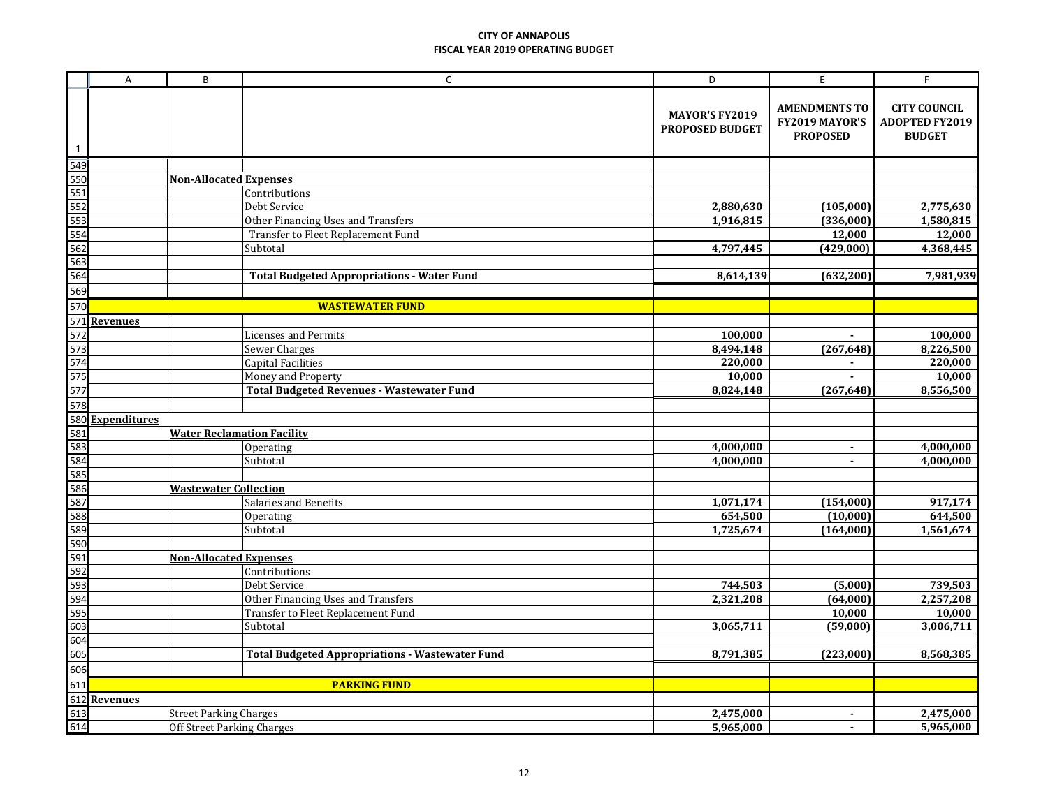|              | $\sf A$             | B                                 | $\mathsf C$                                            | D                                               | E                                                         | F.                                                            |
|--------------|---------------------|-----------------------------------|--------------------------------------------------------|-------------------------------------------------|-----------------------------------------------------------|---------------------------------------------------------------|
| $\mathbf{1}$ |                     |                                   |                                                        | <b>MAYOR'S FY2019</b><br><b>PROPOSED BUDGET</b> | <b>AMENDMENTS TO</b><br>FY2019 MAYOR'S<br><b>PROPOSED</b> | <b>CITY COUNCIL</b><br><b>ADOPTED FY2019</b><br><b>BUDGET</b> |
| 549          |                     |                                   |                                                        |                                                 |                                                           |                                                               |
| 550          |                     | <b>Non-Allocated Expenses</b>     |                                                        |                                                 |                                                           |                                                               |
| 551          |                     |                                   | Contributions                                          |                                                 |                                                           |                                                               |
| 552          |                     |                                   | Debt Service                                           | 2,880,630                                       | (105,000)                                                 | 2,775,630                                                     |
| 553          |                     |                                   | Other Financing Uses and Transfers                     | 1,916,815                                       | (336,000)                                                 | 1,580,815                                                     |
| 554          |                     |                                   | Transfer to Fleet Replacement Fund                     |                                                 | 12,000                                                    | 12,000                                                        |
| 562          |                     |                                   | Subtotal                                               | 4,797,445                                       | (429,000)                                                 | 4,368,445                                                     |
| 563          |                     |                                   |                                                        |                                                 |                                                           |                                                               |
| 564          |                     |                                   | <b>Total Budgeted Appropriations - Water Fund</b>      | 8,614,139                                       | (632, 200)                                                | 7,981,939                                                     |
| 569          |                     |                                   |                                                        |                                                 |                                                           |                                                               |
| 570          |                     |                                   | <b>WASTEWATER FUND</b>                                 |                                                 |                                                           |                                                               |
| 571          | <b>Revenues</b>     |                                   |                                                        |                                                 | $\blacksquare$                                            |                                                               |
| 572<br>573   |                     |                                   | <b>Licenses and Permits</b>                            | 100,000<br>8,494,148                            |                                                           | 100,000<br>8,226,500                                          |
| 574          |                     |                                   | Sewer Charges<br><b>Capital Facilities</b>             | 220,000                                         | (267, 648)                                                | 220,000                                                       |
| 575          |                     |                                   | Money and Property                                     | 10,000                                          | $\overline{a}$                                            | 10,000                                                        |
| 577          |                     |                                   | <b>Total Budgeted Revenues - Wastewater Fund</b>       | 8,824,148                                       | (267, 648)                                                | 8,556,500                                                     |
| 578          |                     |                                   |                                                        |                                                 |                                                           |                                                               |
| 580          | <b>Expenditures</b> |                                   |                                                        |                                                 |                                                           |                                                               |
| 581          |                     | <b>Water Reclamation Facility</b> |                                                        |                                                 |                                                           |                                                               |
| 583          |                     |                                   | Operating                                              | 4,000,000                                       | $\blacksquare$                                            | 4,000,000                                                     |
| 584          |                     |                                   | Subtotal                                               | 4,000,000                                       | $\blacksquare$                                            | 4,000,000                                                     |
| 585          |                     |                                   |                                                        |                                                 |                                                           |                                                               |
| 586          |                     | <b>Wastewater Collection</b>      |                                                        |                                                 |                                                           |                                                               |
| 587          |                     |                                   | Salaries and Benefits                                  | 1,071,174                                       | (154,000)                                                 | 917,174                                                       |
| 588          |                     |                                   | Operating                                              | 654,500                                         | (10,000)                                                  | 644,500                                                       |
| 589          |                     |                                   | Subtotal                                               | 1,725,674                                       | (164,000)                                                 | 1,561,674                                                     |
| 590          |                     |                                   |                                                        |                                                 |                                                           |                                                               |
| 591          |                     | <b>Non-Allocated Expenses</b>     |                                                        |                                                 |                                                           |                                                               |
| 592          |                     |                                   | Contributions                                          |                                                 |                                                           |                                                               |
| 593          |                     |                                   | Debt Service                                           | 744,503                                         | (5,000)                                                   | 739,503                                                       |
| 594<br>595   |                     |                                   | Other Financing Uses and Transfers                     | 2,321,208                                       | (64,000)<br>10,000                                        | 2,257,208<br>10,000                                           |
| 603          |                     |                                   | Transfer to Fleet Replacement Fund<br>Subtotal         | 3,065,711                                       | (59,000)                                                  | 3,006,711                                                     |
| 604          |                     |                                   |                                                        |                                                 |                                                           |                                                               |
| 605          |                     |                                   | <b>Total Budgeted Appropriations - Wastewater Fund</b> | 8,791,385                                       | (223,000)                                                 | 8,568,385                                                     |
| 606          |                     |                                   |                                                        |                                                 |                                                           |                                                               |
| 611          |                     |                                   | <b>PARKING FUND</b>                                    |                                                 |                                                           |                                                               |
|              | 612 Revenues        |                                   |                                                        |                                                 |                                                           |                                                               |
| 613          |                     | <b>Street Parking Charges</b>     |                                                        | 2,475,000                                       | $\blacksquare$                                            | 2,475,000                                                     |
| 614          |                     | Off Street Parking Charges        |                                                        | 5,965,000                                       | $\blacksquare$                                            | 5,965,000                                                     |
|              |                     |                                   |                                                        |                                                 |                                                           |                                                               |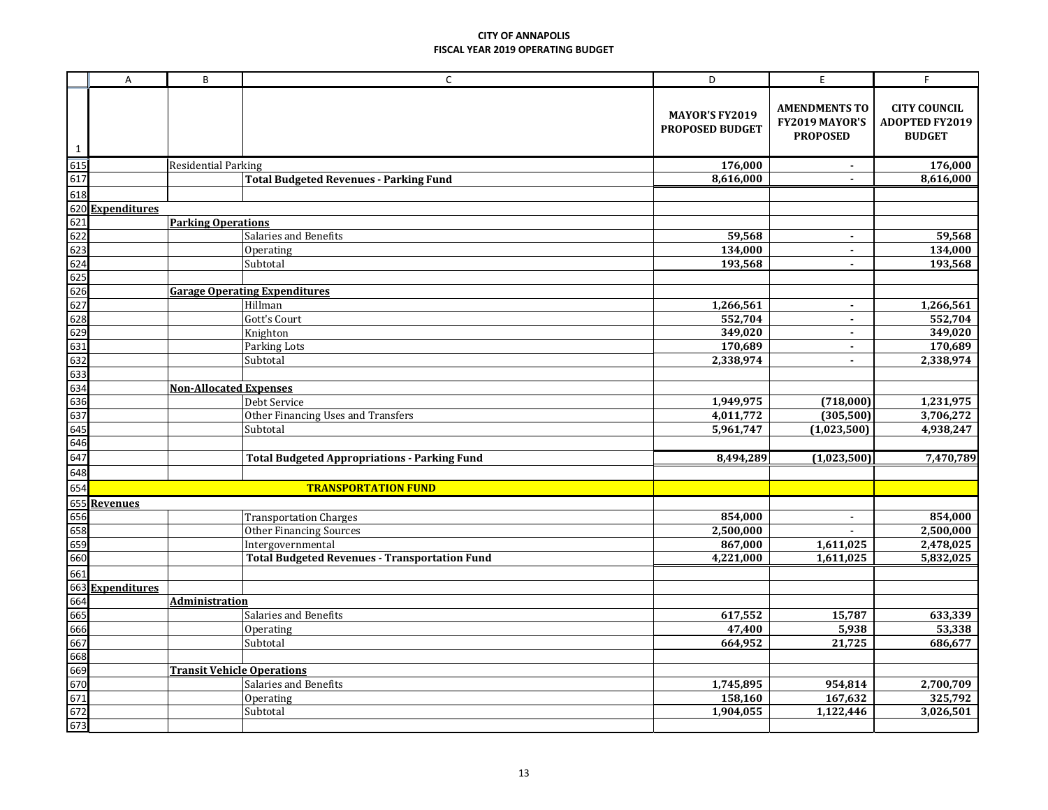|              | Α                                 | B                             | $\mathsf C$                                          | D                                               | $\mathsf E$                                               | F                                                             |  |
|--------------|-----------------------------------|-------------------------------|------------------------------------------------------|-------------------------------------------------|-----------------------------------------------------------|---------------------------------------------------------------|--|
| $\mathbf{1}$ |                                   |                               |                                                      | <b>MAYOR'S FY2019</b><br><b>PROPOSED BUDGET</b> | <b>AMENDMENTS TO</b><br>FY2019 MAYOR'S<br><b>PROPOSED</b> | <b>CITY COUNCIL</b><br><b>ADOPTED FY2019</b><br><b>BUDGET</b> |  |
| 615          |                                   | <b>Residential Parking</b>    |                                                      | 176,000                                         | $\blacksquare$                                            | 176,000                                                       |  |
| 617          |                                   |                               | <b>Total Budgeted Revenues - Parking Fund</b>        | 8,616,000                                       | $\blacksquare$                                            | 8,616,000                                                     |  |
| 618          |                                   |                               |                                                      |                                                 |                                                           |                                                               |  |
|              | 620 Expenditures                  |                               |                                                      |                                                 |                                                           |                                                               |  |
| 621          |                                   | <b>Parking Operations</b>     |                                                      |                                                 |                                                           |                                                               |  |
| 622          |                                   |                               | Salaries and Benefits                                | 59,568                                          | $\sim$                                                    | 59,568                                                        |  |
| 623          |                                   |                               | Operating                                            | 134,000                                         | $\blacksquare$                                            | 134,000                                                       |  |
| 624          |                                   |                               | Subtotal                                             | 193,568                                         | $\blacksquare$                                            | 193,568                                                       |  |
| 625          |                                   |                               |                                                      |                                                 |                                                           |                                                               |  |
| 626          |                                   |                               | <b>Garage Operating Expenditures</b>                 |                                                 |                                                           |                                                               |  |
| 627          |                                   |                               | Hillman                                              | 1,266,561                                       | $\blacksquare$                                            | 1,266,561                                                     |  |
| 628          |                                   |                               | Gott's Court                                         | 552,704                                         | $\blacksquare$                                            | 552,704                                                       |  |
| 629          |                                   |                               | Knighton                                             | 349,020                                         | $\sim$                                                    | 349,020                                                       |  |
| 631<br>632   |                                   |                               | Parking Lots                                         | 170,689<br>2,338,974                            | $\sim$<br>$\blacksquare$                                  | 170,689<br>2,338,974                                          |  |
| 633          |                                   |                               | Subtotal                                             |                                                 |                                                           |                                                               |  |
| 634          |                                   | <b>Non-Allocated Expenses</b> |                                                      |                                                 |                                                           |                                                               |  |
| 636          |                                   |                               | Debt Service                                         | 1,949,975                                       | (718,000)                                                 | 1,231,975                                                     |  |
| 637          |                                   |                               | Other Financing Uses and Transfers                   | 4,011,772                                       | (305, 500)                                                | 3,706,272                                                     |  |
| 645          |                                   |                               | Subtotal                                             | 5,961,747                                       | (1,023,500)                                               | 4,938,247                                                     |  |
| 646          |                                   |                               |                                                      |                                                 |                                                           |                                                               |  |
| 647          |                                   |                               | <b>Total Budgeted Appropriations - Parking Fund</b>  | 8,494,289                                       | (1,023,500)                                               | 7,470,789                                                     |  |
| 648          |                                   |                               |                                                      |                                                 |                                                           |                                                               |  |
| 654          |                                   |                               | <b>TRANSPORTATION FUND</b>                           |                                                 |                                                           |                                                               |  |
| 655          | <b>Revenues</b>                   |                               |                                                      |                                                 |                                                           |                                                               |  |
| 656          |                                   |                               | <b>Transportation Charges</b>                        | 854,000                                         | $\blacksquare$                                            | 854,000                                                       |  |
| 658          |                                   |                               | <b>Other Financing Sources</b>                       | 2,500,000                                       |                                                           | 2,500,000                                                     |  |
| 659          |                                   |                               | Intergovernmental                                    | 867,000                                         | 1,611,025                                                 | 2,478,025                                                     |  |
| 660          |                                   |                               | <b>Total Budgeted Revenues - Transportation Fund</b> | 4,221,000                                       | 1,611,025                                                 | 5,832,025                                                     |  |
| 661          |                                   |                               |                                                      |                                                 |                                                           |                                                               |  |
| 663          | <b>Expenditures</b>               |                               |                                                      |                                                 |                                                           |                                                               |  |
| 664          |                                   | <b>Administration</b>         |                                                      |                                                 |                                                           |                                                               |  |
| 665          |                                   |                               | Salaries and Benefits                                | 617,552                                         | 15,787                                                    | 633,339                                                       |  |
| 666          |                                   |                               | Operating                                            | 47,400                                          | 5,938                                                     | 53,338                                                        |  |
| 667          |                                   |                               | Subtotal                                             | 664,952                                         | 21,725                                                    | 686,677                                                       |  |
| 668          |                                   |                               |                                                      |                                                 |                                                           |                                                               |  |
| 669          | <b>Transit Vehicle Operations</b> |                               |                                                      |                                                 |                                                           |                                                               |  |
| 670          |                                   |                               | Salaries and Benefits                                | 1,745,895                                       | 954,814                                                   | 2,700,709                                                     |  |
| 671          |                                   |                               | Operating                                            | 158,160                                         | 167,632                                                   | 325,792                                                       |  |
| 672          |                                   |                               | Subtotal                                             | 1,904,055                                       | 1,122,446                                                 | 3,026,501                                                     |  |
| 673          |                                   |                               |                                                      |                                                 |                                                           |                                                               |  |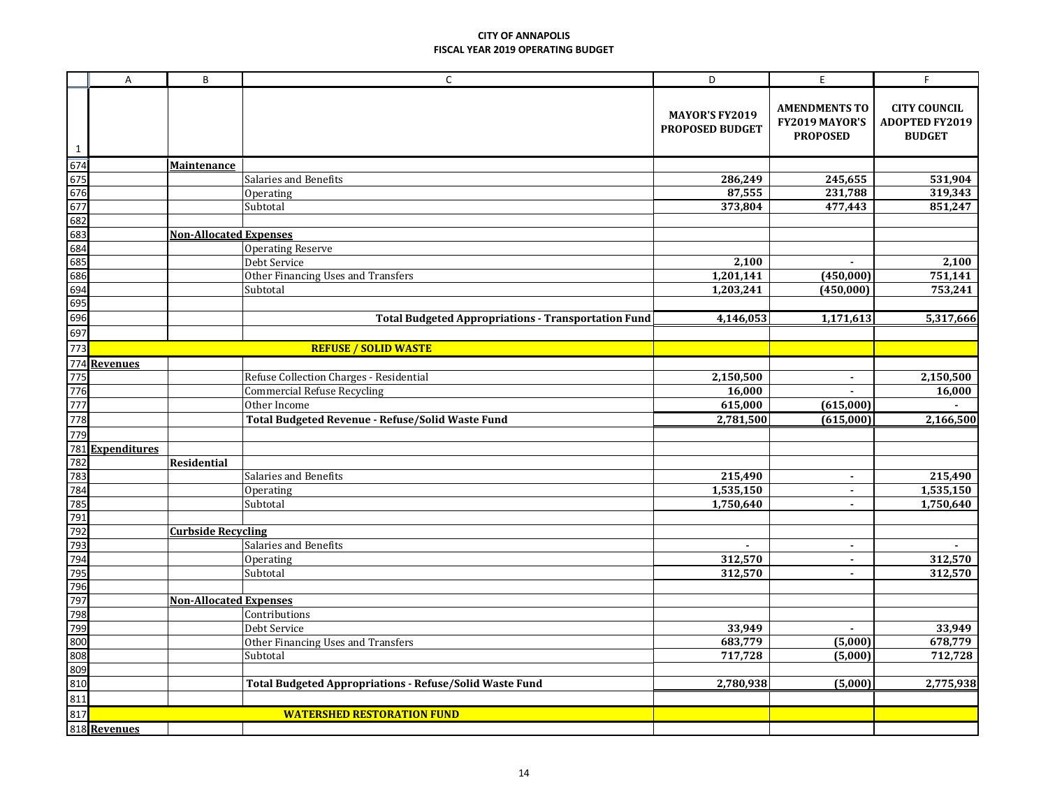|                  | A                   | B                             | $\mathsf C$                                                    | D                                               | $\mathsf E$                                               | F                                                             |
|------------------|---------------------|-------------------------------|----------------------------------------------------------------|-------------------------------------------------|-----------------------------------------------------------|---------------------------------------------------------------|
| 1                |                     |                               |                                                                | <b>MAYOR'S FY2019</b><br><b>PROPOSED BUDGET</b> | <b>AMENDMENTS TO</b><br>FY2019 MAYOR'S<br><b>PROPOSED</b> | <b>CITY COUNCIL</b><br><b>ADOPTED FY2019</b><br><b>BUDGET</b> |
| $\overline{674}$ |                     | <b>Maintenance</b>            |                                                                |                                                 |                                                           |                                                               |
| 675              |                     |                               | Salaries and Benefits                                          | 286,249                                         | 245,655                                                   | 531,904                                                       |
| 676              |                     |                               | Operating                                                      | 87,555                                          | 231,788                                                   | 319,343                                                       |
| 677              |                     |                               | Subtotal                                                       | 373,804                                         | 477,443                                                   | 851,247                                                       |
| 682              |                     |                               |                                                                |                                                 |                                                           |                                                               |
| 683              |                     | <b>Non-Allocated Expenses</b> |                                                                |                                                 |                                                           |                                                               |
| 684              |                     |                               | <b>Operating Reserve</b>                                       |                                                 |                                                           |                                                               |
| 685              |                     |                               | Debt Service                                                   | 2,100                                           |                                                           | 2,100                                                         |
| 686              |                     |                               | Other Financing Uses and Transfers                             | 1,201,141                                       | (450,000)                                                 | 751,141                                                       |
| 694              |                     |                               | Subtotal                                                       | 1,203,241                                       | (450,000)                                                 | 753,241                                                       |
| 695              |                     |                               |                                                                |                                                 |                                                           |                                                               |
| 696              |                     |                               | <b>Total Budgeted Appropriations - Transportation Fund</b>     | 4,146,053                                       | 1,171,613                                                 | 5,317,666                                                     |
| 697              |                     |                               |                                                                |                                                 |                                                           |                                                               |
| 773              |                     |                               | <b>REFUSE / SOLID WASTE</b>                                    |                                                 |                                                           |                                                               |
| 774              | <b>Revenues</b>     |                               |                                                                |                                                 |                                                           |                                                               |
| 775              |                     |                               | Refuse Collection Charges - Residential                        | 2,150,500                                       | $\blacksquare$                                            | 2,150,500                                                     |
| 776              |                     |                               | <b>Commercial Refuse Recycling</b>                             | 16,000                                          |                                                           | 16,000                                                        |
| 777              |                     |                               | Other Income                                                   | 615,000                                         | (615,000)                                                 |                                                               |
| 778              |                     |                               | Total Budgeted Revenue - Refuse/Solid Waste Fund               | 2,781,500                                       | (615,000)                                                 | 2,166,500                                                     |
| 779              |                     |                               |                                                                |                                                 |                                                           |                                                               |
| 781              | <b>Expenditures</b> |                               |                                                                |                                                 |                                                           |                                                               |
| 782              |                     | <b>Residential</b>            |                                                                |                                                 |                                                           |                                                               |
| 783              |                     |                               | Salaries and Benefits                                          | 215,490                                         | $\blacksquare$                                            | 215,490                                                       |
| 784              |                     |                               | Operating                                                      | 1,535,150                                       | $\blacksquare$                                            | 1,535,150                                                     |
| 785              |                     |                               | Subtotal                                                       | 1,750,640                                       | $\sim$                                                    | 1,750,640                                                     |
| 791              |                     |                               |                                                                |                                                 |                                                           |                                                               |
| 792              |                     | <b>Curbside Recycling</b>     |                                                                |                                                 |                                                           |                                                               |
| 793              |                     |                               | Salaries and Benefits                                          |                                                 | $\blacksquare$                                            |                                                               |
| 794              |                     |                               | Operating                                                      | 312,570                                         | $\sim$                                                    | 312,570                                                       |
| 795              |                     |                               | Subtotal                                                       | 312,570                                         | $\blacksquare$                                            | 312,570                                                       |
| 796              |                     |                               |                                                                |                                                 |                                                           |                                                               |
| 797              |                     | <b>Non-Allocated Expenses</b> |                                                                |                                                 |                                                           |                                                               |
| 798              |                     |                               | Contributions                                                  |                                                 |                                                           |                                                               |
| 799              |                     |                               | Debt Service                                                   | 33,949                                          | $\blacksquare$                                            | 33,949                                                        |
| 800              |                     |                               | Other Financing Uses and Transfers                             | 683,779                                         | (5,000)                                                   | 678,779                                                       |
| 808              |                     |                               | Subtotal                                                       | 717,728                                         | (5,000)                                                   | 712,728                                                       |
| 809              |                     |                               |                                                                |                                                 |                                                           |                                                               |
| 810              |                     |                               | <b>Total Budgeted Appropriations - Refuse/Solid Waste Fund</b> | 2,780,938                                       | (5,000)                                                   | 2,775,938                                                     |
| 811              |                     |                               |                                                                |                                                 |                                                           |                                                               |
| 817              |                     |                               | <b>WATERSHED RESTORATION FUND</b>                              |                                                 |                                                           |                                                               |
|                  | 818 Revenues        |                               |                                                                |                                                 |                                                           |                                                               |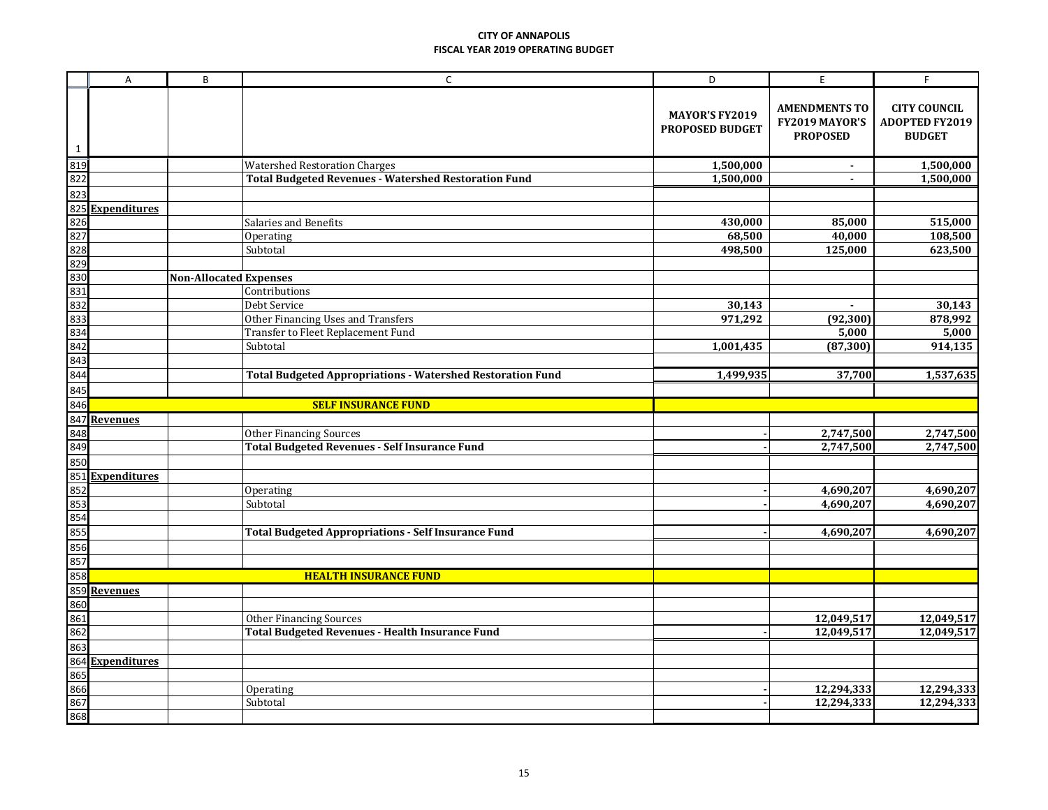|              | A                                                                                                    | B                             | $\mathsf{C}$                                                             | D                                               | E                                                         | F                                                             |
|--------------|------------------------------------------------------------------------------------------------------|-------------------------------|--------------------------------------------------------------------------|-------------------------------------------------|-----------------------------------------------------------|---------------------------------------------------------------|
| $\mathbf{1}$ |                                                                                                      |                               |                                                                          | <b>MAYOR'S FY2019</b><br><b>PROPOSED BUDGET</b> | <b>AMENDMENTS TO</b><br>FY2019 MAYOR'S<br><b>PROPOSED</b> | <b>CITY COUNCIL</b><br><b>ADOPTED FY2019</b><br><b>BUDGET</b> |
|              |                                                                                                      |                               | <b>Watershed Restoration Charges</b>                                     | 1,500,000                                       | $\blacksquare$                                            | 1,500,000                                                     |
|              |                                                                                                      |                               | <b>Total Budgeted Revenues - Watershed Restoration Fund</b>              | 1,500,000                                       | $\blacksquare$                                            | 1,500,000                                                     |
|              |                                                                                                      |                               |                                                                          |                                                 |                                                           |                                                               |
|              | <b>Expenditures</b>                                                                                  |                               |                                                                          |                                                 |                                                           |                                                               |
|              |                                                                                                      |                               | Salaries and Benefits                                                    | 430,000                                         | 85,000                                                    | 515,000                                                       |
|              |                                                                                                      |                               | Operating                                                                | 68,500                                          | 40,000                                                    | 108,500                                                       |
|              |                                                                                                      |                               | Subtotal                                                                 | 498,500                                         | 125,000                                                   | 623,500                                                       |
|              |                                                                                                      |                               |                                                                          |                                                 |                                                           |                                                               |
|              |                                                                                                      | <b>Non-Allocated Expenses</b> |                                                                          |                                                 |                                                           |                                                               |
|              |                                                                                                      |                               | Contributions                                                            |                                                 |                                                           |                                                               |
|              |                                                                                                      |                               | Debt Service                                                             | 30,143                                          | $\blacksquare$                                            | 30,143                                                        |
|              |                                                                                                      |                               | Other Financing Uses and Transfers<br>Transfer to Fleet Replacement Fund | 971,292                                         | (92, 300)<br>5,000                                        | 878,992<br>5,000                                              |
|              |                                                                                                      |                               | Subtotal                                                                 | 1,001,435                                       | (87, 300)                                                 | 914,135                                                       |
|              |                                                                                                      |                               |                                                                          |                                                 |                                                           |                                                               |
|              |                                                                                                      |                               | <b>Total Budgeted Appropriations - Watershed Restoration Fund</b>        | 1,499,935                                       | 37,700                                                    | 1,537,635                                                     |
|              |                                                                                                      |                               |                                                                          |                                                 |                                                           |                                                               |
|              |                                                                                                      |                               | <b>SELF INSURANCE FUND</b>                                               |                                                 |                                                           |                                                               |
|              |                                                                                                      |                               |                                                                          |                                                 |                                                           |                                                               |
|              |                                                                                                      |                               | <b>Other Financing Sources</b>                                           |                                                 | 2,747,500                                                 | 2,747,500                                                     |
|              |                                                                                                      |                               | <b>Total Budgeted Revenues - Self Insurance Fund</b>                     |                                                 | 2,747,500                                                 | 2,747,500                                                     |
|              |                                                                                                      |                               |                                                                          |                                                 |                                                           |                                                               |
|              | <b>Expenditures</b>                                                                                  |                               |                                                                          |                                                 |                                                           |                                                               |
|              |                                                                                                      |                               | Operating                                                                |                                                 | 4,690,207                                                 | 4,690,207                                                     |
|              |                                                                                                      |                               | Subtotal                                                                 |                                                 | 4,690,207                                                 | 4,690,207                                                     |
|              |                                                                                                      |                               |                                                                          |                                                 |                                                           |                                                               |
|              |                                                                                                      |                               | <b>Total Budgeted Appropriations - Self Insurance Fund</b>               |                                                 | 4,690,207                                                 | 4,690,207                                                     |
|              |                                                                                                      |                               |                                                                          |                                                 |                                                           |                                                               |
|              |                                                                                                      |                               |                                                                          |                                                 |                                                           |                                                               |
|              |                                                                                                      |                               | <b>HEALTH INSURANCE FUND</b>                                             |                                                 |                                                           |                                                               |
|              |                                                                                                      |                               |                                                                          |                                                 |                                                           |                                                               |
|              |                                                                                                      |                               |                                                                          |                                                 |                                                           |                                                               |
|              |                                                                                                      |                               | <b>Other Financing Sources</b>                                           |                                                 | 12,049,517                                                | 12,049,517                                                    |
|              |                                                                                                      |                               | <b>Total Budgeted Revenues - Health Insurance Fund</b>                   |                                                 | 12,049,517                                                | 12,049,517                                                    |
|              | 859 <u>Revenues<br/>860<br/>861<br/>862<br/>863<br/>864 Expenditures</u><br>865<br>866<br>867<br>868 |                               |                                                                          |                                                 |                                                           |                                                               |
|              |                                                                                                      |                               |                                                                          |                                                 |                                                           |                                                               |
|              |                                                                                                      |                               |                                                                          |                                                 |                                                           |                                                               |
|              |                                                                                                      |                               | Operating                                                                |                                                 | 12,294,333                                                | 12,294,333                                                    |
|              |                                                                                                      |                               | Subtotal                                                                 |                                                 | 12,294,333                                                | 12,294,333                                                    |
|              |                                                                                                      |                               |                                                                          |                                                 |                                                           |                                                               |